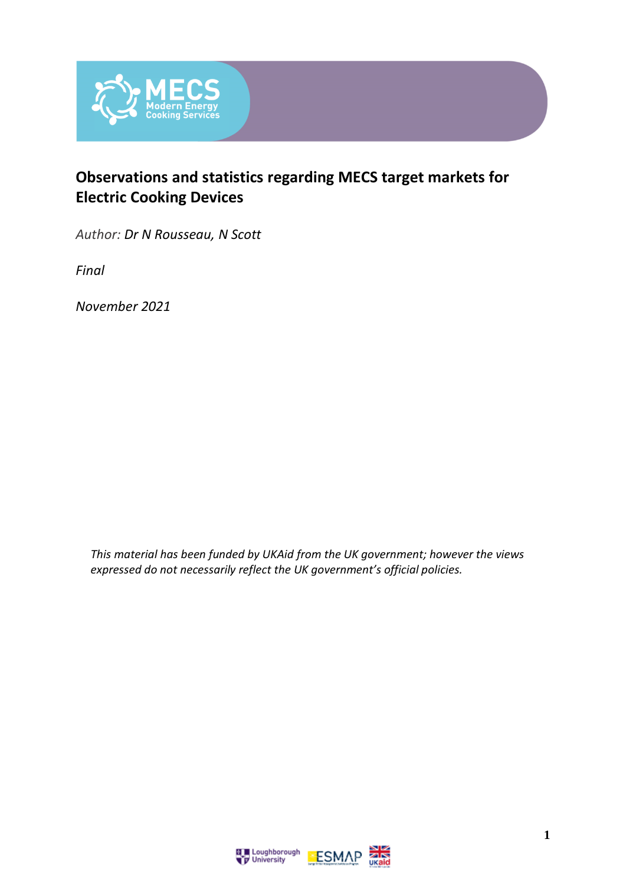

#### **Observations and statistics regarding MECS target markets for Electric Cooking Devices**

*Author: Dr N Rousseau, N Scott*

*Final*

*November 2021*

*This material has been funded by UKAid from the UK government; however the views expressed do not necessarily reflect the UK government's official policies.*



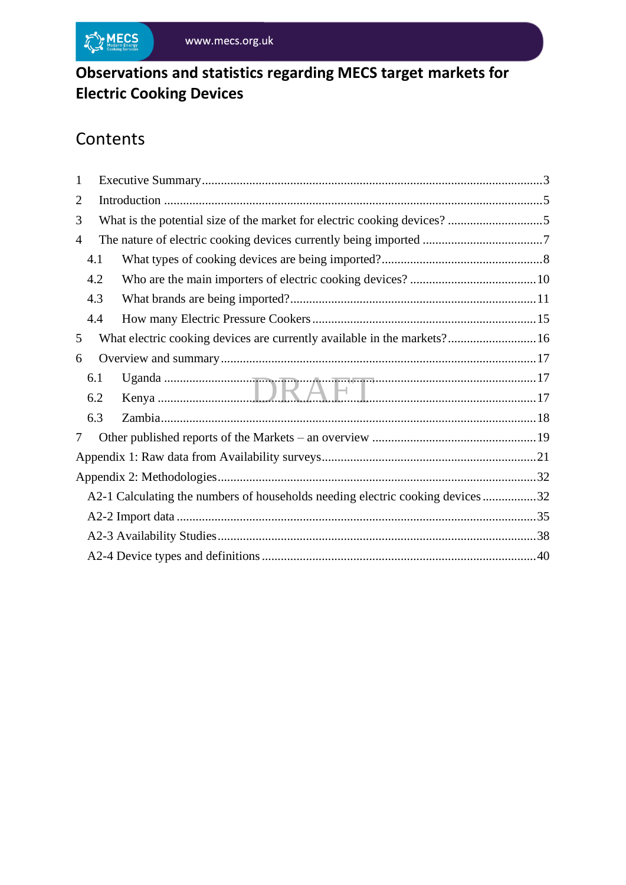

## **Observations and statistics regarding MECS target markets for Electric Cooking Devices**

# **Contents**

| $\mathbf{1}$   |     |                                                                                |  |  |  |  |
|----------------|-----|--------------------------------------------------------------------------------|--|--|--|--|
| $\overline{2}$ |     |                                                                                |  |  |  |  |
| 3              |     |                                                                                |  |  |  |  |
| 4              |     |                                                                                |  |  |  |  |
|                | 4.1 |                                                                                |  |  |  |  |
|                | 4.2 |                                                                                |  |  |  |  |
|                | 4.3 |                                                                                |  |  |  |  |
|                | 4.4 |                                                                                |  |  |  |  |
| 5              |     | What electric cooking devices are currently available in the markets?16        |  |  |  |  |
| 6              |     |                                                                                |  |  |  |  |
|                | 6.1 |                                                                                |  |  |  |  |
|                | 6.2 |                                                                                |  |  |  |  |
|                | 6.3 |                                                                                |  |  |  |  |
| 7              |     |                                                                                |  |  |  |  |
|                |     |                                                                                |  |  |  |  |
|                |     |                                                                                |  |  |  |  |
|                |     | A2-1 Calculating the numbers of households needing electric cooking devices 32 |  |  |  |  |
|                |     |                                                                                |  |  |  |  |
|                |     |                                                                                |  |  |  |  |
|                |     |                                                                                |  |  |  |  |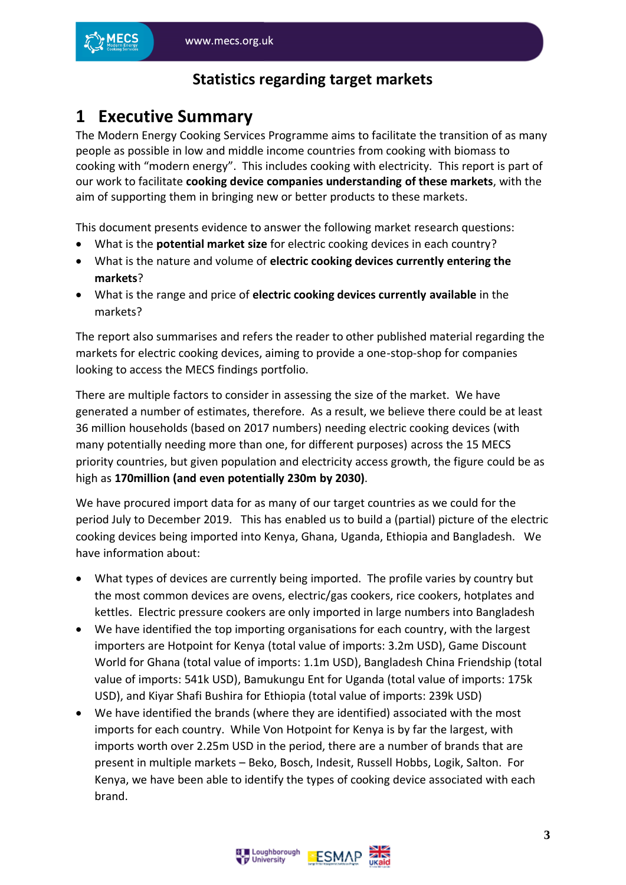#### **Statistics regarding target markets**

#### <span id="page-2-0"></span>**1 Executive Summary**

The Modern Energy Cooking Services Programme aims to facilitate the transition of as many people as possible in low and middle income countries from cooking with biomass to cooking with "modern energy". This includes cooking with electricity. This report is part of our work to facilitate **cooking device companies understanding of these markets**, with the aim of supporting them in bringing new or better products to these markets.

This document presents evidence to answer the following market research questions:

- What is the **potential market size** for electric cooking devices in each country?
- What is the nature and volume of **electric cooking devices currently entering the markets**?
- What is the range and price of **electric cooking devices currently available** in the markets?

The report also summarises and refers the reader to other published material regarding the markets for electric cooking devices, aiming to provide a one-stop-shop for companies looking to access the MECS findings portfolio.

There are multiple factors to consider in assessing the size of the market. We have generated a number of estimates, therefore. As a result, we believe there could be at least 36 million households (based on 2017 numbers) needing electric cooking devices (with many potentially needing more than one, for different purposes) across the 15 MECS priority countries, but given population and electricity access growth, the figure could be as high as **170million (and even potentially 230m by 2030)**.

We have procured import data for as many of our target countries as we could for the period July to December 2019. This has enabled us to build a (partial) picture of the electric cooking devices being imported into Kenya, Ghana, Uganda, Ethiopia and Bangladesh. We have information about:

- What types of devices are currently being imported. The profile varies by country but the most common devices are ovens, electric/gas cookers, rice cookers, hotplates and kettles. Electric pressure cookers are only imported in large numbers into Bangladesh
- We have identified the top importing organisations for each country, with the largest importers are Hotpoint for Kenya (total value of imports: 3.2m USD), Game Discount World for Ghana (total value of imports: 1.1m USD), Bangladesh China Friendship (total value of imports: 541k USD), Bamukungu Ent for Uganda (total value of imports: 175k USD), and Kiyar Shafi Bushira for Ethiopia (total value of imports: 239k USD)
- We have identified the brands (where they are identified) associated with the most imports for each country. While Von Hotpoint for Kenya is by far the largest, with imports worth over 2.25m USD in the period, there are a number of brands that are present in multiple markets – Beko, Bosch, Indesit, Russell Hobbs, Logik, Salton. For Kenya, we have been able to identify the types of cooking device associated with each brand.

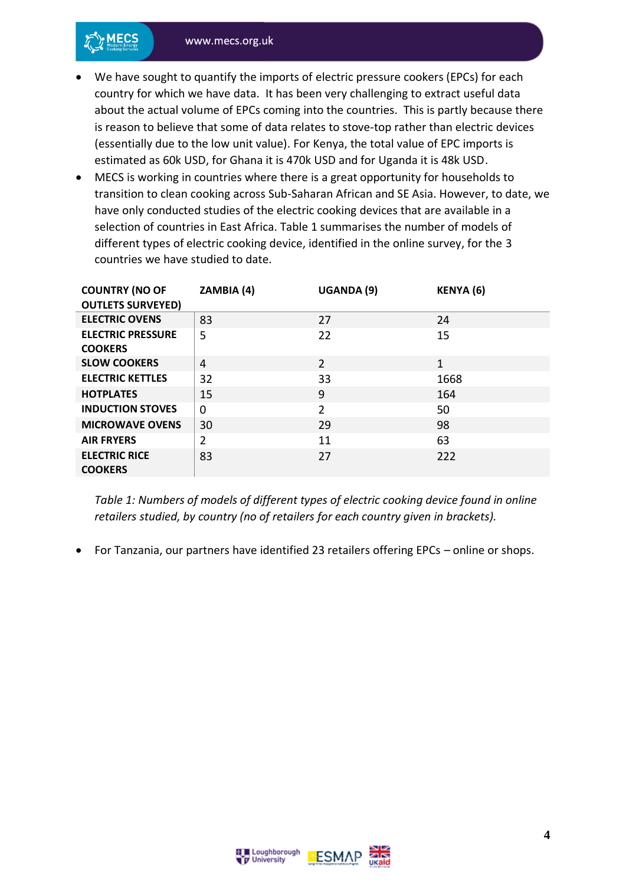

- We have sought to quantify the imports of electric pressure cookers (EPCs) for each country for which we have data. It has been very challenging to extract useful data about the actual volume of EPCs coming into the countries. This is partly because there is reason to believe that some of data relates to stove-top rather than electric devices (essentially due to the low unit value). For Kenya, the total value of EPC imports is estimated as 60k USD, for Ghana it is 470k USD and for Uganda it is 48k USD.
- MECS is working in countries where there is a great opportunity for households to transition to clean cooking across Sub-Saharan African and SE Asia. However, to date, we have only conducted studies of the electric cooking devices that are available in a selection of countries in East Africa. Table 1 summarises the number of models of different types of electric cooking device, identified in the online survey, for the 3 countries we have studied to date.

| <b>COUNTRY (NO OF</b><br><b>OUTLETS SURVEYED)</b> | ZAMBIA (4)     | UGANDA (9)     | <b>KENYA (6)</b> |
|---------------------------------------------------|----------------|----------------|------------------|
| <b>ELECTRIC OVENS</b>                             | 83             | 27             | 24               |
| <b>ELECTRIC PRESSURE</b><br><b>COOKERS</b>        | 5              | 22             | 15               |
| <b>SLOW COOKERS</b>                               | 4              | $\overline{2}$ | 1                |
| <b>ELECTRIC KETTLES</b>                           | 32             | 33             | 1668             |
| <b>HOTPLATES</b>                                  | 15             | 9              | 164              |
| <b>INDUCTION STOVES</b>                           | $\Omega$       | $\overline{2}$ | 50               |
| <b>MICROWAVE OVENS</b>                            | 30             | 29             | 98               |
| <b>AIR FRYERS</b>                                 | $\overline{2}$ | 11             | 63               |
| <b>ELECTRIC RICE</b><br><b>COOKERS</b>            | 83             | 27             | 222              |

*Table 1: Numbers of models of different types of electric cooking device found in online retailers studied, by country (no of retailers for each country given in brackets).*

• For Tanzania, our partners have identified 23 retailers offering EPCs – online or shops.



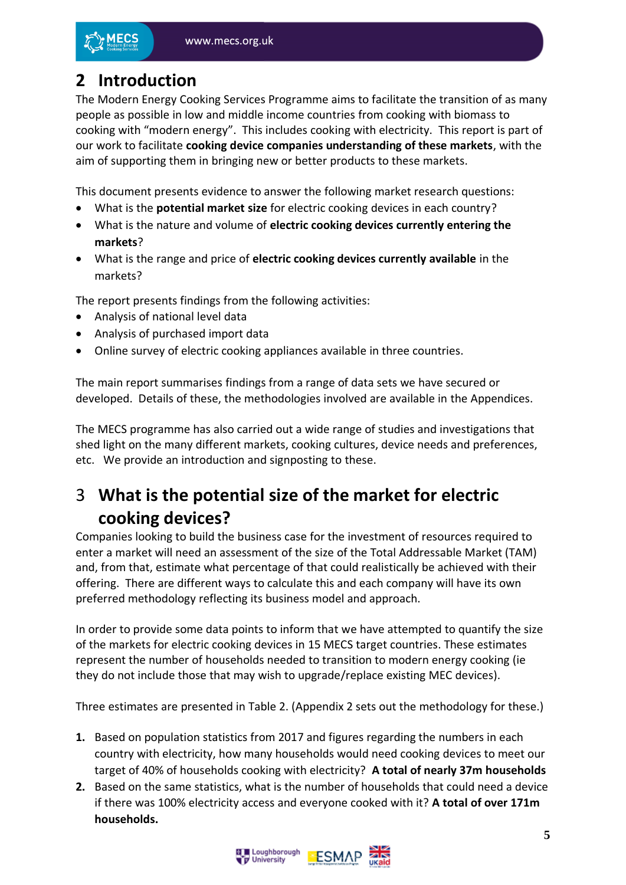

## <span id="page-4-0"></span>**2 Introduction**

The Modern Energy Cooking Services Programme aims to facilitate the transition of as many people as possible in low and middle income countries from cooking with biomass to cooking with "modern energy". This includes cooking with electricity. This report is part of our work to facilitate **cooking device companies understanding of these markets**, with the aim of supporting them in bringing new or better products to these markets.

This document presents evidence to answer the following market research questions:

- What is the **potential market size** for electric cooking devices in each country?
- What is the nature and volume of **electric cooking devices currently entering the markets**?
- What is the range and price of **electric cooking devices currently available** in the markets?

The report presents findings from the following activities:

- Analysis of national level data
- Analysis of purchased import data
- Online survey of electric cooking appliances available in three countries.

The main report summarises findings from a range of data sets we have secured or developed. Details of these, the methodologies involved are available in the Appendices.

The MECS programme has also carried out a wide range of studies and investigations that shed light on the many different markets, cooking cultures, device needs and preferences, etc. We provide an introduction and signposting to these.

## <span id="page-4-1"></span>3 **What is the potential size of the market for electric cooking devices?**

Companies looking to build the business case for the investment of resources required to enter a market will need an assessment of the size of the Total Addressable Market (TAM) and, from that, estimate what percentage of that could realistically be achieved with their offering. There are different ways to calculate this and each company will have its own preferred methodology reflecting its business model and approach.

In order to provide some data points to inform that we have attempted to quantify the size of the markets for electric cooking devices in 15 MECS target countries. These estimates represent the number of households needed to transition to modern energy cooking (ie they do not include those that may wish to upgrade/replace existing MEC devices).

Three estimates are presented in Table 2. (Appendix 2 sets out the methodology for these.)

- **1.** Based on population statistics from 2017 and figures regarding the numbers in each country with electricity, how many households would need cooking devices to meet our target of 40% of households cooking with electricity? **A total of nearly 37m households**
- **2.** Based on the same statistics, what is the number of households that could need a device if there was 100% electricity access and everyone cooked with it? **A total of over 171m households.**

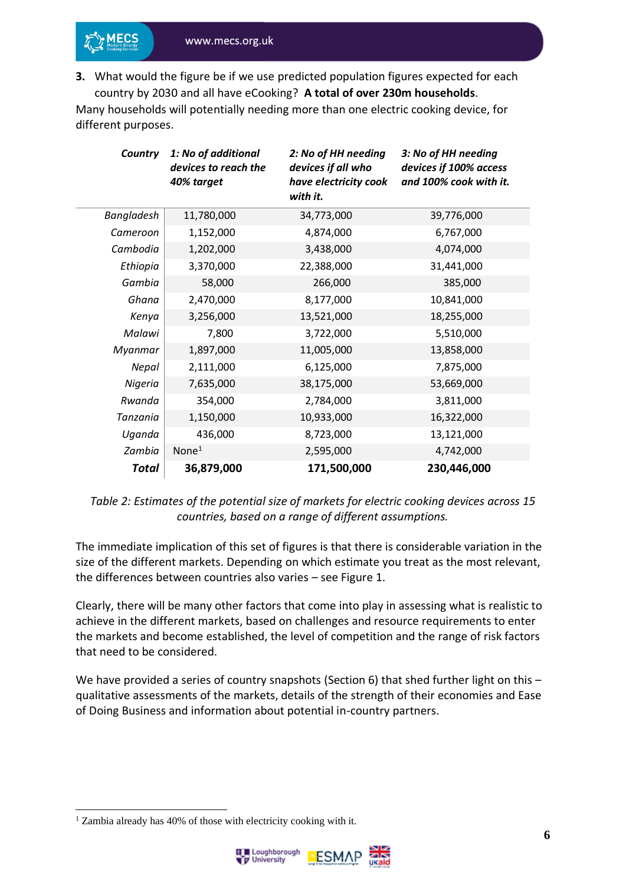**3.** What would the figure be if we use predicted population figures expected for each country by 2030 and all have eCooking? **A total of over 230m households**.

Many households will potentially needing more than one electric cooking device, for different purposes.

| Country    | 1: No of additional<br>devices to reach the<br>40% target | 2: No of HH needing<br>devices if all who<br>have electricity cook<br>with it. | 3: No of HH needing<br>devices if 100% access<br>and 100% cook with it. |
|------------|-----------------------------------------------------------|--------------------------------------------------------------------------------|-------------------------------------------------------------------------|
| Bangladesh | 11,780,000                                                | 34,773,000                                                                     | 39,776,000                                                              |
| Cameroon   | 1,152,000                                                 | 4,874,000                                                                      | 6,767,000                                                               |
| Cambodia   | 1,202,000                                                 | 3,438,000                                                                      | 4,074,000                                                               |
| Ethiopia   | 3,370,000                                                 | 22,388,000                                                                     | 31,441,000                                                              |
| Gambia     | 58,000                                                    | 266,000                                                                        | 385,000                                                                 |
| Ghana      | 2,470,000                                                 | 8,177,000                                                                      | 10,841,000                                                              |
| Kenya      | 3,256,000                                                 | 13,521,000                                                                     | 18,255,000                                                              |
| Malawi     | 7,800                                                     | 3,722,000                                                                      | 5,510,000                                                               |
| Myanmar    | 1,897,000                                                 | 11,005,000                                                                     | 13,858,000                                                              |
| Nepal      | 2,111,000                                                 | 6,125,000                                                                      | 7,875,000                                                               |
| Nigeria    | 7,635,000                                                 | 38,175,000                                                                     | 53,669,000                                                              |
| Rwanda     | 354,000                                                   | 2,784,000                                                                      | 3,811,000                                                               |
| Tanzania   | 1,150,000                                                 | 10,933,000                                                                     | 16,322,000                                                              |
| Uganda     | 436,000                                                   | 8,723,000                                                                      | 13,121,000                                                              |
| Zambia     | None <sup>1</sup>                                         | 2,595,000                                                                      | 4,742,000                                                               |
| Total      | 36,879,000                                                | 171,500,000                                                                    | 230,446,000                                                             |

#### *Table 2: Estimates of the potential size of markets for electric cooking devices across 15 countries, based on a range of different assumptions.*

The immediate implication of this set of figures is that there is considerable variation in the size of the different markets. Depending on which estimate you treat as the most relevant, the differences between countries also varies – see Figure 1.

Clearly, there will be many other factors that come into play in assessing what is realistic to achieve in the different markets, based on challenges and resource requirements to enter the markets and become established, the level of competition and the range of risk factors that need to be considered.

We have provided a series of country snapshots (Section 6) that shed further light on this – qualitative assessments of the markets, details of the strength of their economies and Ease of Doing Business and information about potential in-country partners.

<sup>1</sup> Zambia already has 40% of those with electricity cooking with it.

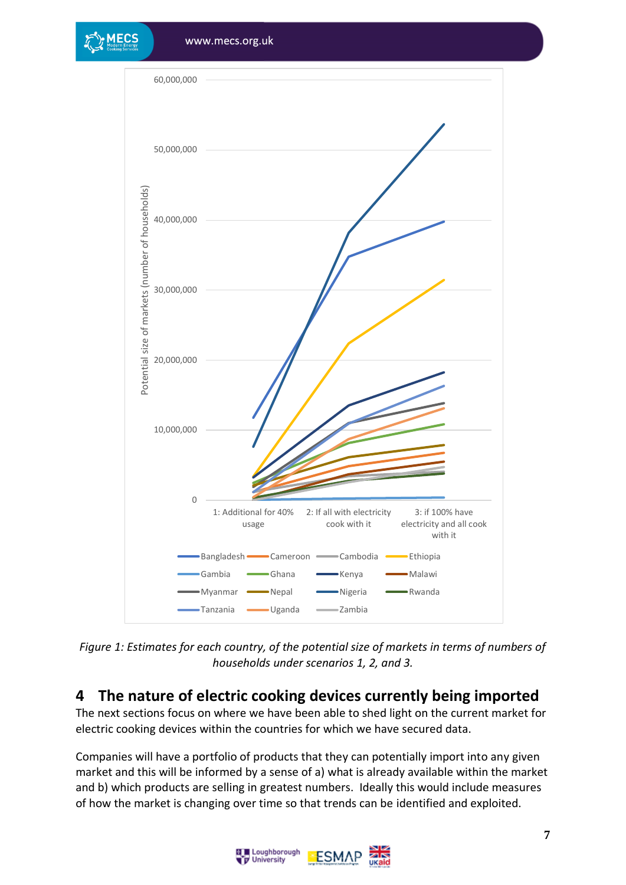

*Figure 1: Estimates for each country, of the potential size of markets in terms of numbers of households under scenarios 1, 2, and 3.*

#### <span id="page-6-0"></span>**4 The nature of electric cooking devices currently being imported**

The next sections focus on where we have been able to shed light on the current market for electric cooking devices within the countries for which we have secured data.

Companies will have a portfolio of products that they can potentially import into any given market and this will be informed by a sense of a) what is already available within the market and b) which products are selling in greatest numbers. Ideally this would include measures of how the market is changing over time so that trends can be identified and exploited.

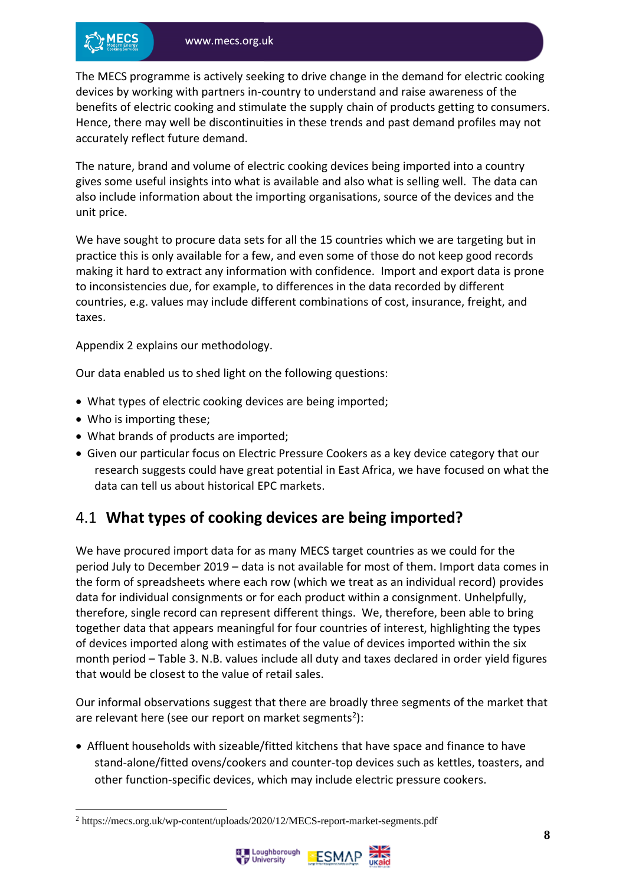The MECS programme is actively seeking to drive change in the demand for electric cooking devices by working with partners in-country to understand and raise awareness of the benefits of electric cooking and stimulate the supply chain of products getting to consumers. Hence, there may well be discontinuities in these trends and past demand profiles may not accurately reflect future demand.

The nature, brand and volume of electric cooking devices being imported into a country gives some useful insights into what is available and also what is selling well. The data can also include information about the importing organisations, source of the devices and the unit price.

We have sought to procure data sets for all the 15 countries which we are targeting but in practice this is only available for a few, and even some of those do not keep good records making it hard to extract any information with confidence. Import and export data is prone to inconsistencies due, for example, to differences in the data recorded by different countries, e.g. values may include different combinations of cost, insurance, freight, and taxes.

Appendix 2 explains our methodology.

Our data enabled us to shed light on the following questions:

- What types of electric cooking devices are being imported;
- Who is importing these;
- What brands of products are imported;
- Given our particular focus on Electric Pressure Cookers as a key device category that our research suggests could have great potential in East Africa, we have focused on what the data can tell us about historical EPC markets.

#### <span id="page-7-0"></span>4.1 **What types of cooking devices are being imported?**

We have procured import data for as many MECS target countries as we could for the period July to December 2019 – data is not available for most of them. Import data comes in the form of spreadsheets where each row (which we treat as an individual record) provides data for individual consignments or for each product within a consignment. Unhelpfully, therefore, single record can represent different things. We, therefore, been able to bring together data that appears meaningful for four countries of interest, highlighting the types of devices imported along with estimates of the value of devices imported within the six month period – Table 3. N.B. values include all duty and taxes declared in order yield figures that would be closest to the value of retail sales.

Our informal observations suggest that there are broadly three segments of the market that are relevant here (see our report on market segments<sup>2</sup>):

• Affluent households with sizeable/fitted kitchens that have space and finance to have stand-alone/fitted ovens/cookers and counter-top devices such as kettles, toasters, and other function-specific devices, which may include electric pressure cookers.

<sup>2</sup> https://mecs.org.uk/wp-content/uploads/2020/12/MECS-report-market-segments.pdf



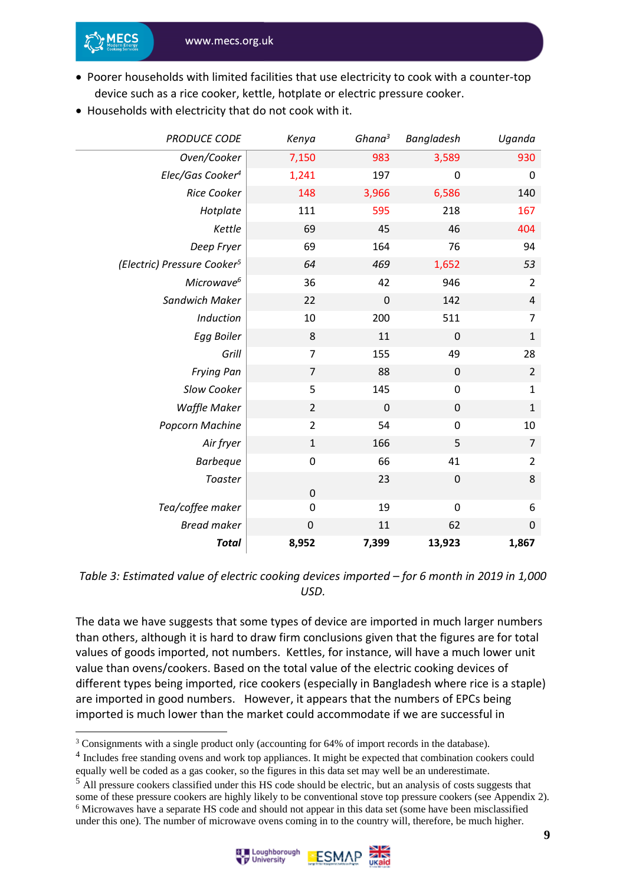- Poorer households with limited facilities that use electricity to cook with a counter-top device such as a rice cooker, kettle, hotplate or electric pressure cooker.
- Households with electricity that do not cook with it.

| <b>PRODUCE CODE</b>                     | Kenya          | Ghana <sup>3</sup> | Bangladesh       | Uganda           |
|-----------------------------------------|----------------|--------------------|------------------|------------------|
| Oven/Cooker                             | 7,150          | 983                | 3,589            | 930              |
| Elec/Gas Cooker <sup>4</sup>            | 1,241          | 197                | $\mathbf 0$      | $\pmb{0}$        |
| <b>Rice Cooker</b>                      | 148            | 3,966              | 6,586            | 140              |
| Hotplate                                | 111            | 595                | 218              | 167              |
| Kettle                                  | 69             | 45                 | 46               | 404              |
| Deep Fryer                              | 69             | 164                | 76               | 94               |
| (Electric) Pressure Cooker <sup>5</sup> | 64             | 469                | 1,652            | 53               |
| Microwave <sup>6</sup>                  | 36             | 42                 | 946              | $\overline{2}$   |
| Sandwich Maker                          | 22             | $\pmb{0}$          | 142              | $\overline{4}$   |
| Induction                               | 10             | 200                | 511              | $\overline{7}$   |
| Egg Boiler                              | 8              | 11                 | $\boldsymbol{0}$ | $\mathbf{1}$     |
| Grill                                   | $\overline{7}$ | 155                | 49               | 28               |
| <b>Frying Pan</b>                       | $\overline{7}$ | 88                 | $\pmb{0}$        | $\overline{2}$   |
| Slow Cooker                             | 5              | 145                | $\pmb{0}$        | $\mathbf{1}$     |
| <b>Waffle Maker</b>                     | $\overline{2}$ | 0                  | $\pmb{0}$        | $\mathbf{1}$     |
| Popcorn Machine                         | $\overline{2}$ | 54                 | $\pmb{0}$        | 10               |
| Air fryer                               | $\mathbf 1$    | 166                | 5                | $\overline{7}$   |
| <b>Barbeque</b>                         | $\pmb{0}$      | 66                 | 41               | $\overline{2}$   |
| Toaster                                 | $\pmb{0}$      | 23                 | $\mathbf 0$      | 8                |
| Tea/coffee maker                        | 0              | 19                 | $\mathbf 0$      | 6                |
| <b>Bread maker</b>                      | $\pmb{0}$      | 11                 | 62               | $\boldsymbol{0}$ |
| <b>Total</b>                            | 8,952          | 7,399              | 13,923           | 1,867            |

*Table 3: Estimated value of electric cooking devices imported – for 6 month in 2019 in 1,000 USD.*

The data we have suggests that some types of device are imported in much larger numbers than others, although it is hard to draw firm conclusions given that the figures are for total values of goods imported, not numbers. Kettles, for instance, will have a much lower unit value than ovens/cookers. Based on the total value of the electric cooking devices of different types being imported, rice cookers (especially in Bangladesh where rice is a staple) are imported in good numbers. However, it appears that the numbers of EPCs being imported is much lower than the market could accommodate if we are successful in

<sup>5</sup> All pressure cookers classified under this HS code should be electric, but an analysis of costs suggests that some of these pressure cookers are highly likely to be conventional stove top pressure cookers (see Appendix 2). <sup>6</sup> Microwaves have a separate HS code and should not appear in this data set (some have been misclassified under this one). The number of microwave ovens coming in to the country will, therefore, be much higher.





<sup>3</sup> Consignments with a single product only (accounting for 64% of import records in the database).

<sup>&</sup>lt;sup>4</sup> Includes free standing ovens and work top appliances. It might be expected that combination cookers could equally well be coded as a gas cooker, so the figures in this data set may well be an underestimate.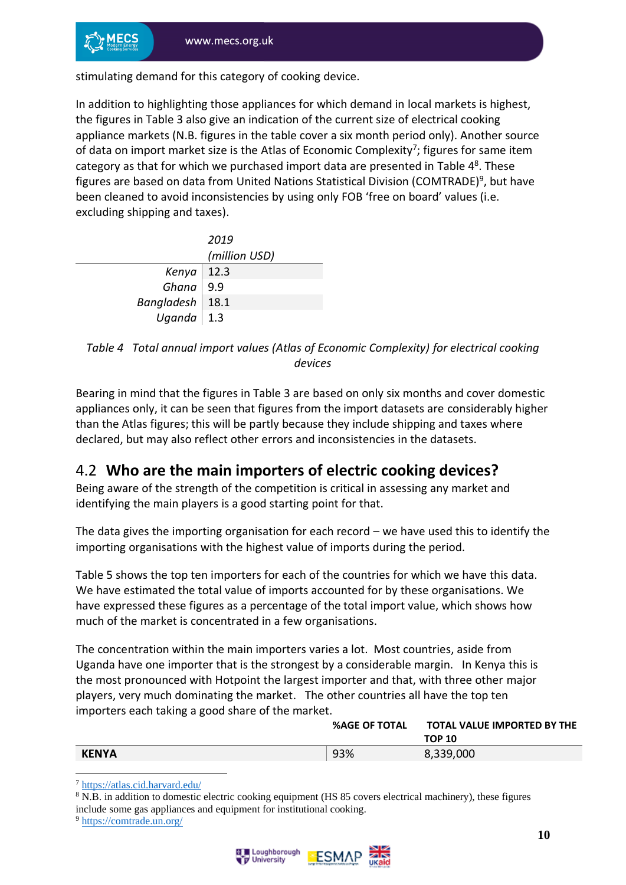stimulating demand for this category of cooking device.

In addition to highlighting those appliances for which demand in local markets is highest, the figures in Table 3 also give an indication of the current size of electrical cooking appliance markets (N.B. figures in the table cover a six month period only). Another source of data on import market size is the Atlas of Economic Complexity<sup>7</sup>; figures for same item category as that for which we purchased import data are presented in Table  $4<sup>8</sup>$ . These figures are based on data from United Nations Statistical Division (COMTRADE)<sup>9</sup>, but have been cleaned to avoid inconsistencies by using only FOB 'free on board' values (i.e. excluding shipping and taxes).

|                                                                                                        | 2019          |
|--------------------------------------------------------------------------------------------------------|---------------|
|                                                                                                        | (million USD) |
|                                                                                                        |               |
| Kenya   12.3<br>Ghana   9.9                                                                            |               |
|                                                                                                        |               |
| $\begin{array}{c c} \textit{Bangladesh} & \textit{18.1} \\ \textit{Uganda} & \textit{1.3} \end{array}$ |               |

*Table 4 Total annual import values (Atlas of Economic Complexity) for electrical cooking devices*

Bearing in mind that the figures in Table 3 are based on only six months and cover domestic appliances only, it can be seen that figures from the import datasets are considerably higher than the Atlas figures; this will be partly because they include shipping and taxes where declared, but may also reflect other errors and inconsistencies in the datasets.

#### <span id="page-9-0"></span>4.2 **Who are the main importers of electric cooking devices?**

Being aware of the strength of the competition is critical in assessing any market and identifying the main players is a good starting point for that.

The data gives the importing organisation for each record – we have used this to identify the importing organisations with the highest value of imports during the period.

Table 5 shows the top ten importers for each of the countries for which we have this data. We have estimated the total value of imports accounted for by these organisations. We have expressed these figures as a percentage of the total import value, which shows how much of the market is concentrated in a few organisations.

The concentration within the main importers varies a lot. Most countries, aside from Uganda have one importer that is the strongest by a considerable margin. In Kenya this is the most pronounced with Hotpoint the largest importer and that, with three other major players, very much dominating the market. The other countries all have the top ten importers each taking a good share of the market.

|              | <b>%AGE OF TOTAL</b> | <b>TOTAL VALUE IMPORTED BY THE</b><br>TOP 10 |
|--------------|----------------------|----------------------------------------------|
| <b>KENYA</b> | 93%                  | 8,339,000                                    |

<sup>7</sup> <https://atlas.cid.harvard.edu/>

<sup>8</sup> N.B. in addition to domestic electric cooking equipment (HS 85 covers electrical machinery), these figures include some gas appliances and equipment for institutional cooking.

<sup>9</sup> <https://comtrade.un.org/>

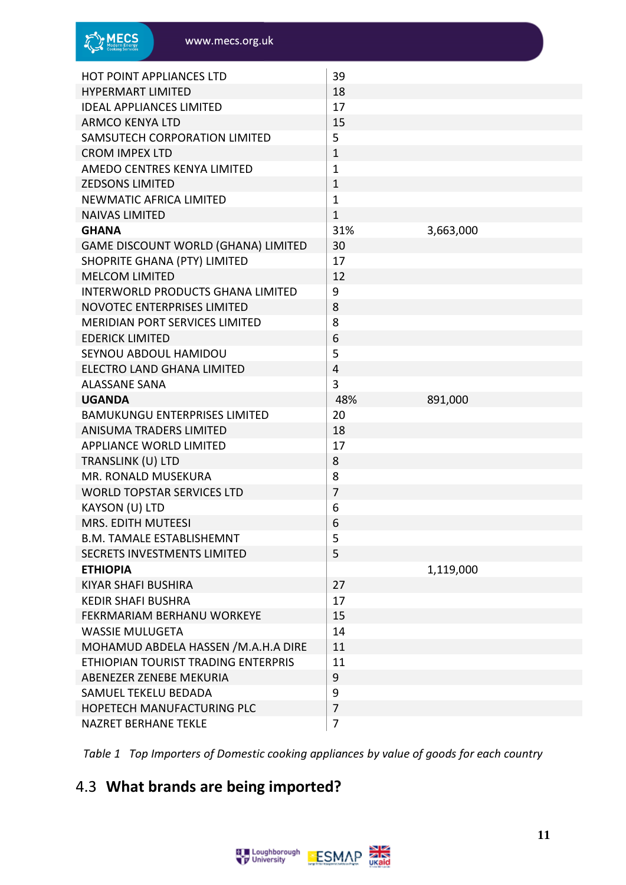| <b>HOT POINT APPLIANCES LTD</b>            | 39               |           |
|--------------------------------------------|------------------|-----------|
| <b>HYPERMART LIMITED</b>                   | 18               |           |
| <b>IDEAL APPLIANCES LIMITED</b>            | 17               |           |
| <b>ARMCO KENYA LTD</b>                     | 15               |           |
| SAMSUTECH CORPORATION LIMITED              | 5                |           |
| <b>CROM IMPEX LTD</b>                      | $\mathbf 1$      |           |
| AMEDO CENTRES KENYA LIMITED                | $\mathbf{1}$     |           |
| <b>ZEDSONS LIMITED</b>                     | $\mathbf{1}$     |           |
| <b>NEWMATIC AFRICA LIMITED</b>             | $\mathbf 1$      |           |
| <b>NAIVAS LIMITED</b>                      | $\mathbf 1$      |           |
| <b>GHANA</b>                               | 31%              | 3,663,000 |
| <b>GAME DISCOUNT WORLD (GHANA) LIMITED</b> | 30               |           |
| SHOPRITE GHANA (PTY) LIMITED               | 17               |           |
| <b>MELCOM LIMITED</b>                      | 12               |           |
| <b>INTERWORLD PRODUCTS GHANA LIMITED</b>   | 9                |           |
| <b>NOVOTEC ENTERPRISES LIMITED</b>         | 8                |           |
| <b>MERIDIAN PORT SERVICES LIMITED</b>      | 8                |           |
| <b>EDERICK LIMITED</b>                     | 6                |           |
| SEYNOU ABDOUL HAMIDOU                      | 5                |           |
| ELECTRO LAND GHANA LIMITED                 | $\overline{4}$   |           |
| <b>ALASSANE SANA</b>                       | 3                |           |
| <b>UGANDA</b>                              | 48%              | 891,000   |
| <b>BAMUKUNGU ENTERPRISES LIMITED</b>       | 20               |           |
| <b>ANISUMA TRADERS LIMITED</b>             | 18               |           |
| <b>APPLIANCE WORLD LIMITED</b>             | 17               |           |
| TRANSLINK (U) LTD                          | 8                |           |
| MR. RONALD MUSEKURA                        | 8                |           |
| <b>WORLD TOPSTAR SERVICES LTD</b>          | $\overline{7}$   |           |
| KAYSON (U) LTD                             | 6                |           |
| MRS. EDITH MUTEESI                         | 6                |           |
| <b>B.M. TAMALE ESTABLISHEMNT</b>           | 5                |           |
| <b>SECRETS INVESTMENTS LIMITED</b>         | 5                |           |
| <b>ETHIOPIA</b>                            |                  | 1,119,000 |
| <b>KIYAR SHAFI BUSHIRA</b>                 | 27               |           |
| <b>KEDIR SHAFI BUSHRA</b>                  | 17               |           |
| FEKRMARIAM BERHANU WORKEYE                 | 15               |           |
| <b>WASSIE MULUGETA</b>                     | 14               |           |
| MOHAMUD ABDELA HASSEN /M.A.H.A DIRE        | 11               |           |
| ETHIOPIAN TOURIST TRADING ENTERPRIS        | 11               |           |
| ABENEZER ZENEBE MEKURIA                    | 9                |           |
| SAMUEL TEKELU BEDADA                       | $\boldsymbol{9}$ |           |
| HOPETECH MANUFACTURING PLC                 | $\overline{7}$   |           |
| <b>NAZRET BERHANE TEKLE</b>                | $\overline{7}$   |           |

*Table 1 Top Importers of Domestic cooking appliances by value of goods for each country*

### <span id="page-10-0"></span>4.3 **What brands are being imported?**

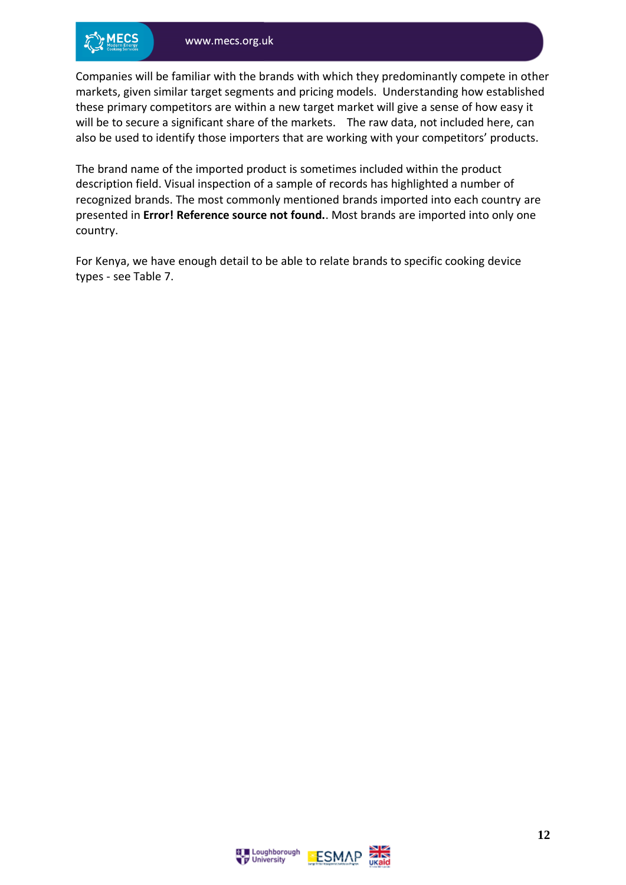Companies will be familiar with the brands with which they predominantly compete in other markets, given similar target segments and pricing models. Understanding how established these primary competitors are within a new target market will give a sense of how easy it will be to secure a significant share of the markets. The raw data, not included here, can also be used to identify those importers that are working with your competitors' products.

The brand name of the imported product is sometimes included within the product description field. Visual inspection of a sample of records has highlighted a number of recognized brands. The most commonly mentioned brands imported into each country are presented in **Error! Reference source not found.**. Most brands are imported into only one country.

For Kenya, we have enough detail to be able to relate brands to specific cooking device types - see Table 7.



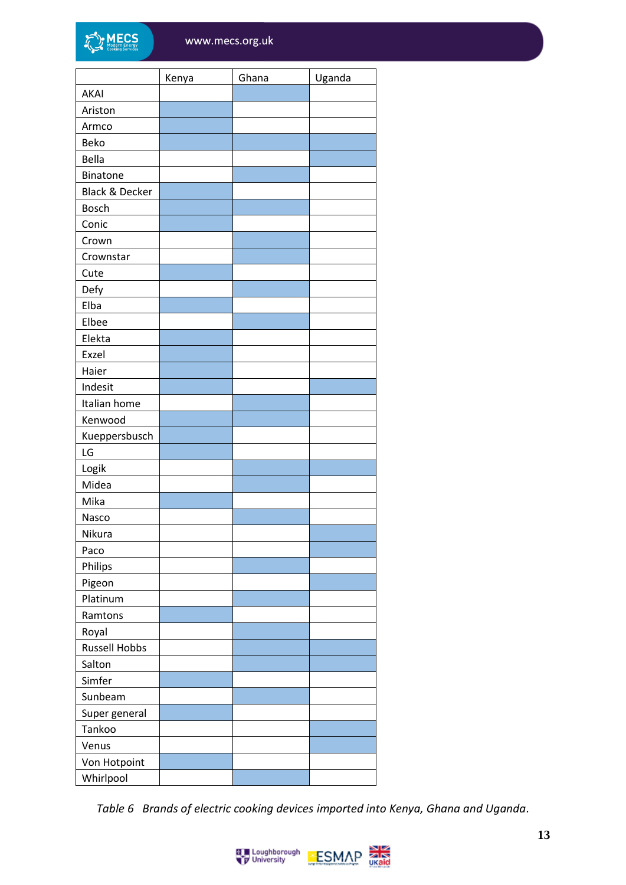|                           | Kenya | Ghana | Uganda |
|---------------------------|-------|-------|--------|
| <b>AKAI</b>               |       |       |        |
| Ariston                   |       |       |        |
| Armco                     |       |       |        |
| Beko                      |       |       |        |
| Bella                     |       |       |        |
| <b>Binatone</b>           |       |       |        |
| <b>Black &amp; Decker</b> |       |       |        |
| <b>Bosch</b>              |       |       |        |
| Conic                     |       |       |        |
| Crown                     |       |       |        |
| Crownstar                 |       |       |        |
| Cute                      |       |       |        |
| Defy                      |       |       |        |
| Elba                      |       |       |        |
| Elbee                     |       |       |        |
| Elekta                    |       |       |        |
| Exzel                     |       |       |        |
| Haier                     |       |       |        |
| Indesit                   |       |       |        |
| Italian home              |       |       |        |
| Kenwood                   |       |       |        |
| Kueppersbusch             |       |       |        |
| LG                        |       |       |        |
| Logik                     |       |       |        |
| Midea                     |       |       |        |
| Mika                      |       |       |        |
| Nasco                     |       |       |        |
| Nikura                    |       |       |        |
| Paco                      |       |       |        |
| Philips                   |       |       |        |
| Pigeon                    |       |       |        |
| Platinum                  |       |       |        |
| Ramtons                   |       |       |        |
| Royal                     |       |       |        |
| <b>Russell Hobbs</b>      |       |       |        |
| Salton                    |       |       |        |
| Simfer                    |       |       |        |
| Sunbeam                   |       |       |        |
| Super general             |       |       |        |
| Tankoo                    |       |       |        |
| Venus                     |       |       |        |
| Von Hotpoint              |       |       |        |
| Whirlpool                 |       |       |        |
|                           |       |       |        |

*Table 6 Brands of electric cooking devices imported into Kenya, Ghana and Uganda.*

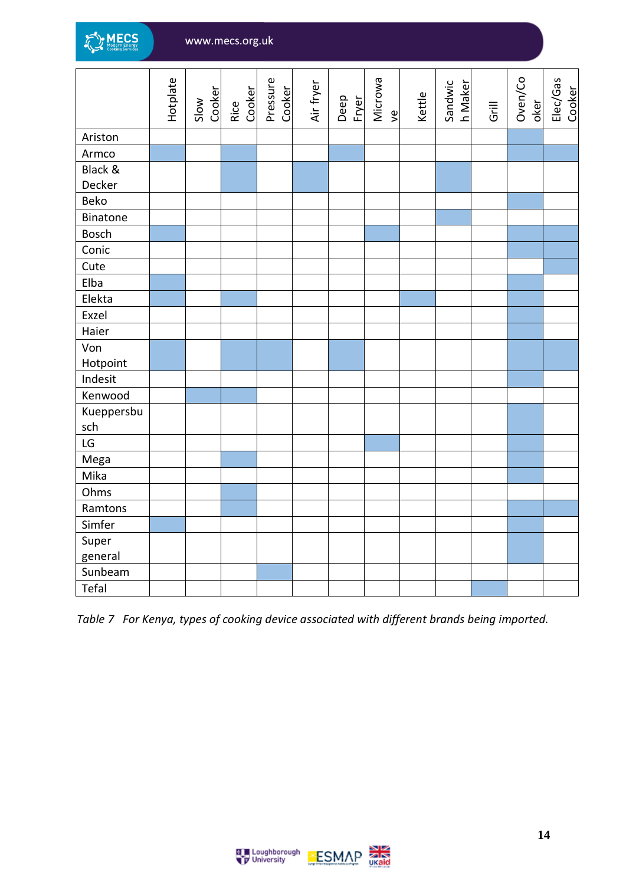

|              | Hotplate | Cooker<br>Slow | Rice<br>Cooker | Pressure<br>Cooker | Air fryer | Deep<br>Fryer | Microwa<br>$\frac{1}{2}$ | Kettle | Sandwic<br>h Maker | Grill | Oven/Co<br>oker | Elec/Gas<br>Cooker |
|--------------|----------|----------------|----------------|--------------------|-----------|---------------|--------------------------|--------|--------------------|-------|-----------------|--------------------|
| Ariston      |          |                |                |                    |           |               |                          |        |                    |       |                 |                    |
| Armco        |          |                |                |                    |           |               |                          |        |                    |       |                 |                    |
| Black &      |          |                |                |                    |           |               |                          |        |                    |       |                 |                    |
| Decker       |          |                |                |                    |           |               |                          |        |                    |       |                 |                    |
| Beko         |          |                |                |                    |           |               |                          |        |                    |       |                 |                    |
| Binatone     |          |                |                |                    |           |               |                          |        |                    |       |                 |                    |
| <b>Bosch</b> |          |                |                |                    |           |               |                          |        |                    |       |                 |                    |
| Conic        |          |                |                |                    |           |               |                          |        |                    |       |                 |                    |
| Cute         |          |                |                |                    |           |               |                          |        |                    |       |                 |                    |
| Elba         |          |                |                |                    |           |               |                          |        |                    |       |                 |                    |
| Elekta       |          |                |                |                    |           |               |                          |        |                    |       |                 |                    |
| Exzel        |          |                |                |                    |           |               |                          |        |                    |       |                 |                    |
| Haier        |          |                |                |                    |           |               |                          |        |                    |       |                 |                    |
| Von          |          |                |                |                    |           |               |                          |        |                    |       |                 |                    |
| Hotpoint     |          |                |                |                    |           |               |                          |        |                    |       |                 |                    |
| Indesit      |          |                |                |                    |           |               |                          |        |                    |       |                 |                    |
| Kenwood      |          |                |                |                    |           |               |                          |        |                    |       |                 |                    |
| Kueppersbu   |          |                |                |                    |           |               |                          |        |                    |       |                 |                    |
| sch          |          |                |                |                    |           |               |                          |        |                    |       |                 |                    |
| LG           |          |                |                |                    |           |               |                          |        |                    |       |                 |                    |
| Mega         |          |                |                |                    |           |               |                          |        |                    |       |                 |                    |
| Mika         |          |                |                |                    |           |               |                          |        |                    |       |                 |                    |
| Ohms         |          |                |                |                    |           |               |                          |        |                    |       |                 |                    |
| Ramtons      |          |                |                |                    |           |               |                          |        |                    |       |                 |                    |
| Simfer       |          |                |                |                    |           |               |                          |        |                    |       |                 |                    |
| Super        |          |                |                |                    |           |               |                          |        |                    |       |                 |                    |
| general      |          |                |                |                    |           |               |                          |        |                    |       |                 |                    |
| Sunbeam      |          |                |                |                    |           |               |                          |        |                    |       |                 |                    |
| Tefal        |          |                |                |                    |           |               |                          |        |                    |       |                 |                    |

*Table 7 For Kenya, types of cooking device associated with different brands being imported.*



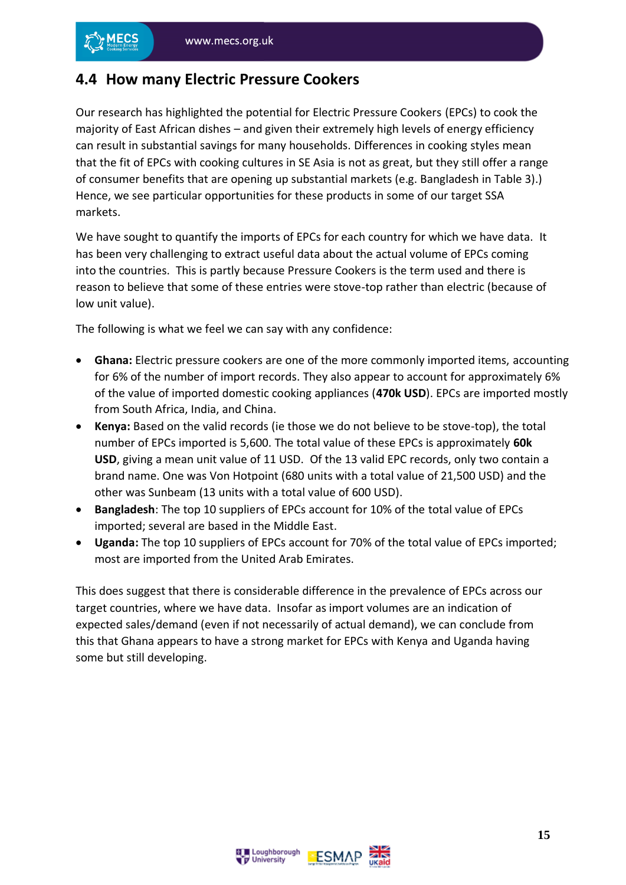#### <span id="page-14-0"></span>**4.4 How many Electric Pressure Cookers**

Our research has highlighted the potential for Electric Pressure Cookers (EPCs) to cook the majority of East African dishes – and given their extremely high levels of energy efficiency can result in substantial savings for many households. Differences in cooking styles mean that the fit of EPCs with cooking cultures in SE Asia is not as great, but they still offer a range of consumer benefits that are opening up substantial markets (e.g. Bangladesh in Table 3).) Hence, we see particular opportunities for these products in some of our target SSA markets.

We have sought to quantify the imports of EPCs for each country for which we have data. It has been very challenging to extract useful data about the actual volume of EPCs coming into the countries. This is partly because Pressure Cookers is the term used and there is reason to believe that some of these entries were stove-top rather than electric (because of low unit value).

The following is what we feel we can say with any confidence:

- **Ghana:** Electric pressure cookers are one of the more commonly imported items, accounting for 6% of the number of import records. They also appear to account for approximately 6% of the value of imported domestic cooking appliances (**470k USD**). EPCs are imported mostly from South Africa, India, and China.
- **Kenya:** Based on the valid records (ie those we do not believe to be stove-top), the total number of EPCs imported is 5,600. The total value of these EPCs is approximately **60k USD**, giving a mean unit value of 11 USD. Of the 13 valid EPC records, only two contain a brand name. One was Von Hotpoint (680 units with a total value of 21,500 USD) and the other was Sunbeam (13 units with a total value of 600 USD).
- **Bangladesh**: The top 10 suppliers of EPCs account for 10% of the total value of EPCs imported; several are based in the Middle East.
- **Uganda:** The top 10 suppliers of EPCs account for 70% of the total value of EPCs imported; most are imported from the United Arab Emirates.

This does suggest that there is considerable difference in the prevalence of EPCs across our target countries, where we have data. Insofar as import volumes are an indication of expected sales/demand (even if not necessarily of actual demand), we can conclude from this that Ghana appears to have a strong market for EPCs with Kenya and Uganda having some but still developing.



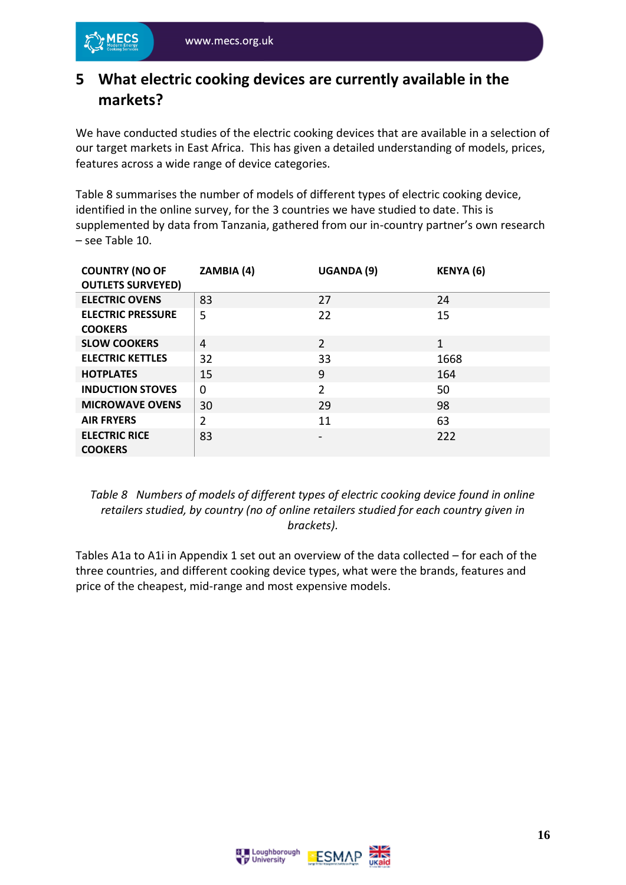#### <span id="page-15-0"></span>**5 What electric cooking devices are currently available in the markets?**

We have conducted studies of the electric cooking devices that are available in a selection of our target markets in East Africa. This has given a detailed understanding of models, prices, features across a wide range of device categories.

Table 8 summarises the number of models of different types of electric cooking device, identified in the online survey, for the 3 countries we have studied to date. This is supplemented by data from Tanzania, gathered from our in-country partner's own research – see Table 10.

| <b>COUNTRY (NO OF</b><br><b>OUTLETS SURVEYED)</b> | ZAMBIA (4)     | UGANDA (9)     | KENYA (6) |
|---------------------------------------------------|----------------|----------------|-----------|
| <b>ELECTRIC OVENS</b>                             | 83             | 27             | 24        |
| <b>ELECTRIC PRESSURE</b><br><b>COOKERS</b>        | 5              | 22             | 15        |
| <b>SLOW COOKERS</b>                               | 4              | $\overline{2}$ | 1         |
| <b>ELECTRIC KETTLES</b>                           | 32             | 33             | 1668      |
| <b>HOTPLATES</b>                                  | 15             | 9              | 164       |
| <b>INDUCTION STOVES</b>                           | $\Omega$       | $\overline{2}$ | 50        |
| <b>MICROWAVE OVENS</b>                            | 30             | 29             | 98        |
| <b>AIR FRYERS</b>                                 | $\overline{2}$ | 11             | 63        |
| <b>ELECTRIC RICE</b><br><b>COOKERS</b>            | 83             | -              | 222       |

#### *Table 8 Numbers of models of different types of electric cooking device found in online retailers studied, by country (no of online retailers studied for each country given in brackets).*

Tables A1a to A1i in Appendix 1 set out an overview of the data collected – for each of the three countries, and different cooking device types, what were the brands, features and price of the cheapest, mid-range and most expensive models.



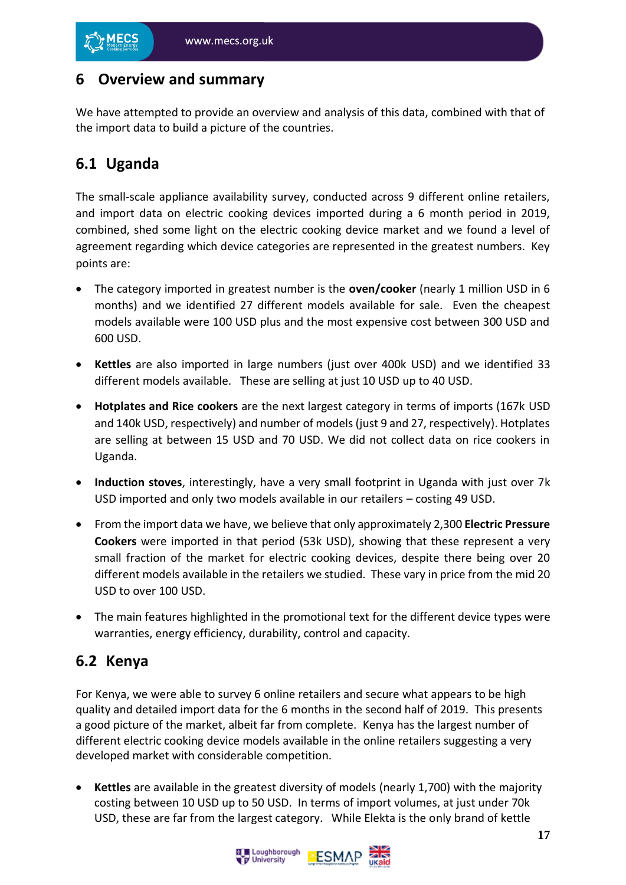#### <span id="page-16-0"></span>**6 Overview and summary**

We have attempted to provide an overview and analysis of this data, combined with that of the import data to build a picture of the countries.

## <span id="page-16-1"></span>**6.1 Uganda**

The small-scale appliance availability survey, conducted across 9 different online retailers, and import data on electric cooking devices imported during a 6 month period in 2019, combined, shed some light on the electric cooking device market and we found a level of agreement regarding which device categories are represented in the greatest numbers. Key points are:

- The category imported in greatest number is the **oven/cooker** (nearly 1 million USD in 6 months) and we identified 27 different models available for sale. Even the cheapest models available were 100 USD plus and the most expensive cost between 300 USD and 600 USD.
- **Kettles** are also imported in large numbers (just over 400k USD) and we identified 33 different models available. These are selling at just 10 USD up to 40 USD.
- **Hotplates and Rice cookers** are the next largest category in terms of imports (167k USD and 140k USD, respectively) and number of models (just 9 and 27, respectively). Hotplates are selling at between 15 USD and 70 USD. We did not collect data on rice cookers in Uganda.
- **Induction stoves**, interestingly, have a very small footprint in Uganda with just over 7k USD imported and only two models available in our retailers – costing 49 USD.
- From the import data we have, we believe that only approximately 2,300 **Electric Pressure Cookers** were imported in that period (53k USD), showing that these represent a very small fraction of the market for electric cooking devices, despite there being over 20 different models available in the retailers we studied. These vary in price from the mid 20 USD to over 100 USD.
- The main features highlighted in the promotional text for the different device types were warranties, energy efficiency, durability, control and capacity.

#### <span id="page-16-2"></span>**6.2 Kenya**

For Kenya, we were able to survey 6 online retailers and secure what appears to be high quality and detailed import data for the 6 months in the second half of 2019. This presents a good picture of the market, albeit far from complete. Kenya has the largest number of different electric cooking device models available in the online retailers suggesting a very developed market with considerable competition.

• **Kettles** are available in the greatest diversity of models (nearly 1,700) with the majority costing between 10 USD up to 50 USD. In terms of import volumes, at just under 70k USD, these are far from the largest category. While Elekta is the only brand of kettle

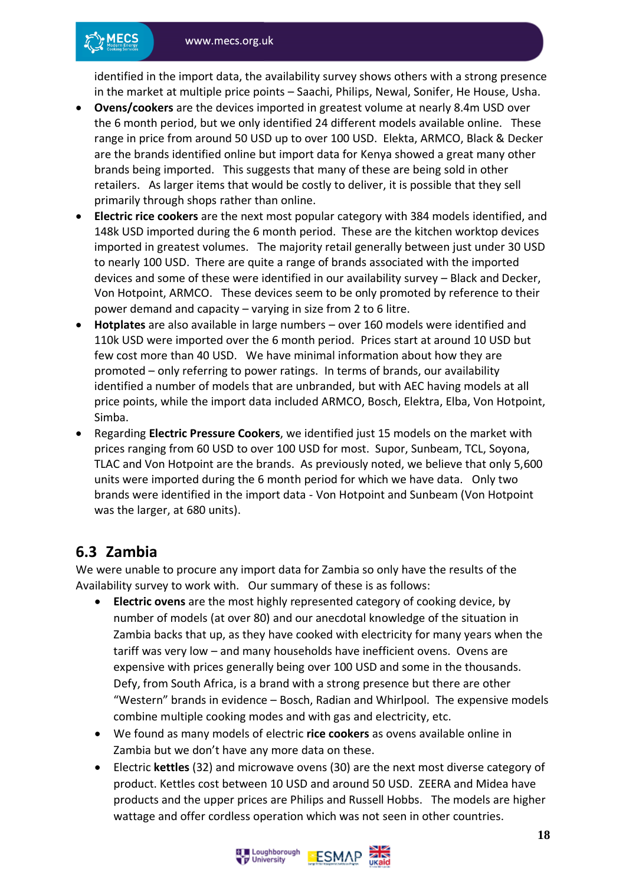identified in the import data, the availability survey shows others with a strong presence in the market at multiple price points – Saachi, Philips, Newal, Sonifer, He House, Usha.

- **Ovens/cookers** are the devices imported in greatest volume at nearly 8.4m USD over the 6 month period, but we only identified 24 different models available online. These range in price from around 50 USD up to over 100 USD. Elekta, ARMCO, Black & Decker are the brands identified online but import data for Kenya showed a great many other brands being imported. This suggests that many of these are being sold in other retailers. As larger items that would be costly to deliver, it is possible that they sell primarily through shops rather than online.
- **Electric rice cookers** are the next most popular category with 384 models identified, and 148k USD imported during the 6 month period. These are the kitchen worktop devices imported in greatest volumes. The majority retail generally between just under 30 USD to nearly 100 USD. There are quite a range of brands associated with the imported devices and some of these were identified in our availability survey – Black and Decker, Von Hotpoint, ARMCO. These devices seem to be only promoted by reference to their power demand and capacity – varying in size from 2 to 6 litre.
- **Hotplates** are also available in large numbers over 160 models were identified and 110k USD were imported over the 6 month period. Prices start at around 10 USD but few cost more than 40 USD. We have minimal information about how they are promoted – only referring to power ratings. In terms of brands, our availability identified a number of models that are unbranded, but with AEC having models at all price points, while the import data included ARMCO, Bosch, Elektra, Elba, Von Hotpoint, Simba.
- Regarding **Electric Pressure Cookers**, we identified just 15 models on the market with prices ranging from 60 USD to over 100 USD for most. Supor, Sunbeam, TCL, Soyona, TLAC and Von Hotpoint are the brands. As previously noted, we believe that only 5,600 units were imported during the 6 month period for which we have data. Only two brands were identified in the import data - Von Hotpoint and Sunbeam (Von Hotpoint was the larger, at 680 units).

#### <span id="page-17-0"></span>**6.3 Zambia**

We were unable to procure any import data for Zambia so only have the results of the Availability survey to work with. Our summary of these is as follows:

- **Electric ovens** are the most highly represented category of cooking device, by number of models (at over 80) and our anecdotal knowledge of the situation in Zambia backs that up, as they have cooked with electricity for many years when the tariff was very low – and many households have inefficient ovens. Ovens are expensive with prices generally being over 100 USD and some in the thousands. Defy, from South Africa, is a brand with a strong presence but there are other "Western" brands in evidence – Bosch, Radian and Whirlpool. The expensive models combine multiple cooking modes and with gas and electricity, etc.
- We found as many models of electric **rice cookers** as ovens available online in Zambia but we don't have any more data on these.
- Electric **kettles** (32) and microwave ovens (30) are the next most diverse category of product. Kettles cost between 10 USD and around 50 USD. ZEERA and Midea have products and the upper prices are Philips and Russell Hobbs. The models are higher wattage and offer cordless operation which was not seen in other countries.



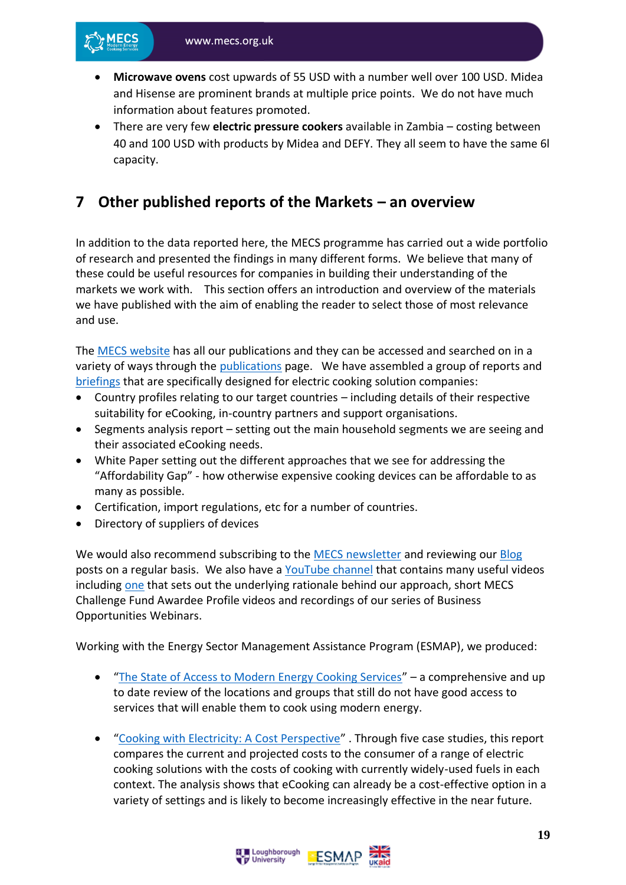- **Microwave ovens** cost upwards of 55 USD with a number well over 100 USD. Midea and Hisense are prominent brands at multiple price points. We do not have much information about features promoted.
- There are very few **electric pressure cookers** available in Zambia costing between 40 and 100 USD with products by Midea and DEFY. They all seem to have the same 6l capacity.

#### <span id="page-18-0"></span>**7 Other published reports of the Markets – an overview**

In addition to the data reported here, the MECS programme has carried out a wide portfolio of research and presented the findings in many different forms. We believe that many of these could be useful resources for companies in building their understanding of the markets we work with. This section offers an introduction and overview of the materials we have published with the aim of enabling the reader to select those of most relevance and use.

The [MECS website](https://mecs.org.uk/) has all our publications and they can be accessed and searched on in a variety of ways through the [publications](https://mecs.org.uk/publications/) page. We have assembled a group of reports and [briefings](https://mecs.org.uk/publications/?q=&publication-type%5B%5D=39) that are specifically designed for electric cooking solution companies:

- Country profiles relating to our target countries including details of their respective suitability for eCooking, in-country partners and support organisations.
- Segments analysis report setting out the main household segments we are seeing and their associated eCooking needs.
- White Paper setting out the different approaches that we see for addressing the "Affordability Gap" - how otherwise expensive cooking devices can be affordable to as many as possible.
- Certification, import regulations, etc for a number of countries.
- Directory of suppliers of devices

We would also recommend subscribing to the [MECS newsletter](https://mecs.org.uk/subscribe/) and reviewing our [Blog](https://mecs.org.uk/blog/) posts on a regular basis. We also have a [YouTube channel](https://www.youtube.com/channel/UCtEB0efau52oYiaXu8uJAzA) that contains many useful videos including [one](https://www.youtube.com/watch?v=RU7fyslLzqM) that sets out the underlying rationale behind our approach, short MECS Challenge Fund Awardee Profile videos and recordings of our series of Business Opportunities Webinars.

Working with the Energy Sector Management Assistance Program (ESMAP), we produced:

- "[The State of Access to Modern Energy Cooking Services](https://mecs.org.uk/wp-content/uploads/2020/12/The-State-of-Access-to-Modern-Energy-Cooking-Services.pdf)" a comprehensive and up to date review of the locations and groups that still do not have good access to services that will enable them to cook using modern energy.
- "[Cooking with Electricity: A Cost Perspective](https://mecs.org.uk/wp-content/uploads/2020/11/Cooking-with-Electricity-A-Cost-Perspective.pdf)" . Through five case studies, this report compares the current and projected costs to the consumer of a range of electric cooking solutions with the costs of cooking with currently widely-used fuels in each context. The analysis shows that eCooking can already be a cost-effective option in a variety of settings and is likely to become increasingly effective in the near future.

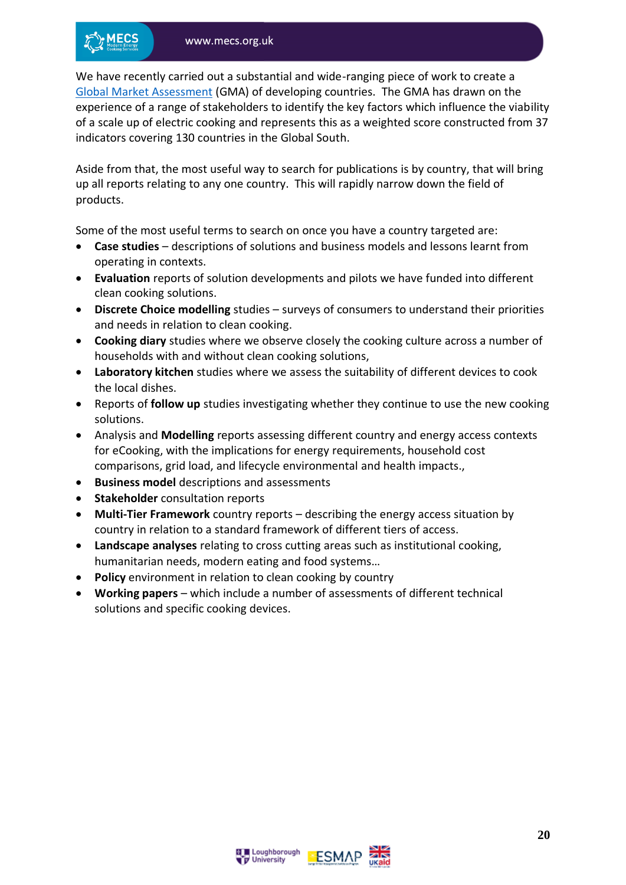We have recently carried out a substantial and wide-ranging piece of work to create a [Global Market Assessment](https://mecs.org.uk/wp-content/uploads/2021/07/Global-Market-Assessment-for-Electric-Cooking.pdf) (GMA) of developing countries. The GMA has drawn on the experience of a range of stakeholders to identify the key factors which influence the viability of a scale up of electric cooking and represents this as a weighted score constructed from 37 indicators covering 130 countries in the Global South.

Aside from that, the most useful way to search for publications is by country, that will bring up all reports relating to any one country. This will rapidly narrow down the field of products.

Some of the most useful terms to search on once you have a country targeted are:

- **Case studies** descriptions of solutions and business models and lessons learnt from operating in contexts.
- **Evaluation** reports of solution developments and pilots we have funded into different clean cooking solutions.
- **Discrete Choice modelling** studies surveys of consumers to understand their priorities and needs in relation to clean cooking.
- **Cooking diary** studies where we observe closely the cooking culture across a number of households with and without clean cooking solutions,
- **Laboratory kitchen** studies where we assess the suitability of different devices to cook the local dishes.
- Reports of **follow up** studies investigating whether they continue to use the new cooking solutions.
- Analysis and **Modelling** reports assessing different country and energy access contexts for eCooking, with the implications for energy requirements, household cost comparisons, grid load, and lifecycle environmental and health impacts.,
- **Business model** descriptions and assessments
- **Stakeholder** consultation reports
- **Multi-Tier Framework** country reports describing the energy access situation by country in relation to a standard framework of different tiers of access.
- **Landscape analyses** relating to cross cutting areas such as institutional cooking, humanitarian needs, modern eating and food systems…
- **Policy** environment in relation to clean cooking by country
- **Working papers**  which include a number of assessments of different technical solutions and specific cooking devices.



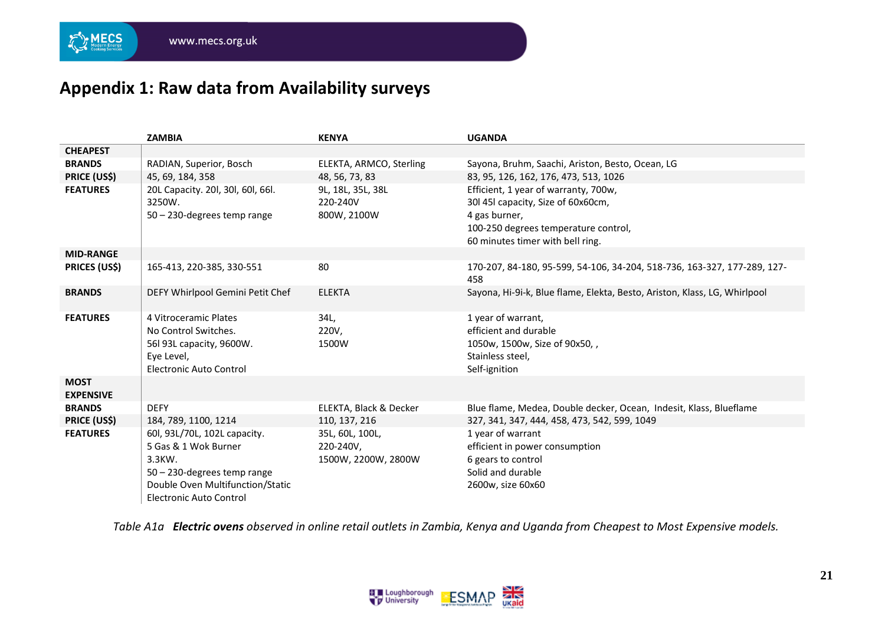**MECS** 

## **Appendix 1: Raw data from Availability surveys**

|                                        | <b>ZAMBIA</b>                                                                                                                                                          | <b>KENYA</b>                                                   | <b>UGANDA</b>                                                                                                                                                                                                    |
|----------------------------------------|------------------------------------------------------------------------------------------------------------------------------------------------------------------------|----------------------------------------------------------------|------------------------------------------------------------------------------------------------------------------------------------------------------------------------------------------------------------------|
| <b>CHEAPEST</b>                        |                                                                                                                                                                        |                                                                |                                                                                                                                                                                                                  |
| <b>BRANDS</b>                          | RADIAN, Superior, Bosch                                                                                                                                                | ELEKTA, ARMCO, Sterling                                        | Sayona, Bruhm, Saachi, Ariston, Besto, Ocean, LG                                                                                                                                                                 |
| <b>PRICE (US\$)</b><br><b>FEATURES</b> | 45, 69, 184, 358<br>20L Capacity. 20l, 30l, 60l, 66l.<br>3250W.<br>$50 - 230$ -degrees temp range                                                                      | 48, 56, 73, 83<br>9L, 18L, 35L, 38L<br>220-240V<br>800W, 2100W | 83, 95, 126, 162, 176, 473, 513, 1026<br>Efficient, 1 year of warranty, 700w,<br>30l 45l capacity, Size of 60x60cm,<br>4 gas burner,<br>100-250 degrees temperature control,<br>60 minutes timer with bell ring. |
| <b>MID-RANGE</b>                       |                                                                                                                                                                        |                                                                |                                                                                                                                                                                                                  |
| <b>PRICES (US\$)</b>                   | 165-413, 220-385, 330-551                                                                                                                                              | 80                                                             | 170-207, 84-180, 95-599, 54-106, 34-204, 518-736, 163-327, 177-289, 127-<br>458                                                                                                                                  |
| <b>BRANDS</b>                          | DEFY Whirlpool Gemini Petit Chef                                                                                                                                       | <b>ELEKTA</b>                                                  | Sayona, Hi-9i-k, Blue flame, Elekta, Besto, Ariston, Klass, LG, Whirlpool                                                                                                                                        |
| <b>FEATURES</b>                        | 4 Vitroceramic Plates<br>No Control Switches.<br>56l 93L capacity, 9600W.<br>Eye Level,<br><b>Electronic Auto Control</b>                                              | 34L,<br>220V,<br>1500W                                         | 1 year of warrant,<br>efficient and durable<br>1050w, 1500w, Size of 90x50,,<br>Stainless steel,<br>Self-ignition                                                                                                |
| <b>MOST</b><br><b>EXPENSIVE</b>        |                                                                                                                                                                        |                                                                |                                                                                                                                                                                                                  |
| <b>BRANDS</b>                          | <b>DEFY</b>                                                                                                                                                            | ELEKTA, Black & Decker                                         | Blue flame, Medea, Double decker, Ocean, Indesit, Klass, Blueflame                                                                                                                                               |
| <b>PRICE (US\$)</b>                    | 184, 789, 1100, 1214                                                                                                                                                   | 110, 137, 216                                                  | 327, 341, 347, 444, 458, 473, 542, 599, 1049                                                                                                                                                                     |
| <b>FEATURES</b>                        | 60l, 93L/70L, 102L capacity.<br>5 Gas & 1 Wok Burner<br>3.3KW.<br>$50 - 230$ -degrees temp range<br>Double Oven Multifunction/Static<br><b>Electronic Auto Control</b> | 35L, 60L, 100L,<br>220-240V,<br>1500W, 2200W, 2800W            | 1 year of warrant<br>efficient in power consumption<br>6 gears to control<br>Solid and durable<br>2600w, size 60x60                                                                                              |

<span id="page-20-0"></span>*Table A1a Electric ovens observed in online retail outlets in Zambia, Kenya and Uganda from Cheapest to Most Expensive models.*

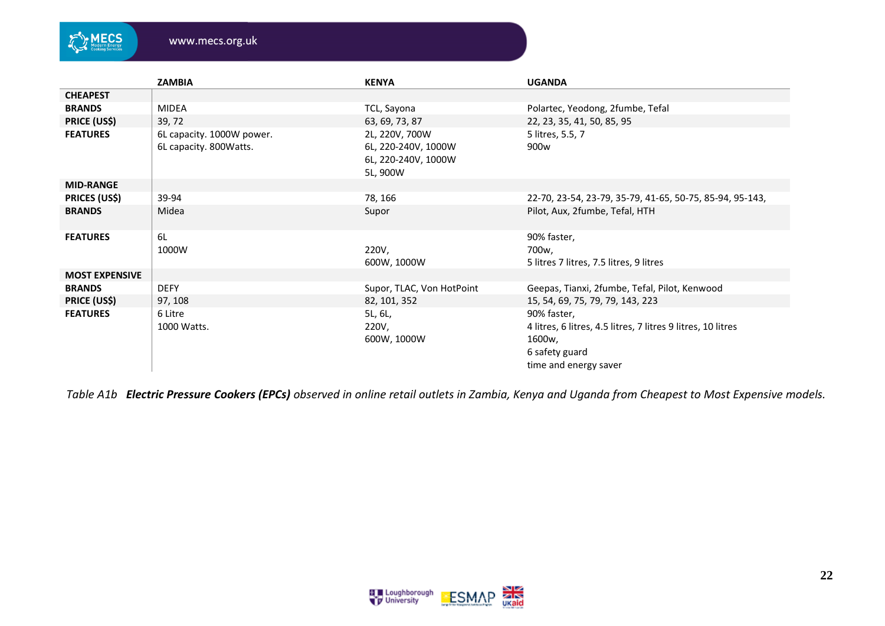

|                       | <b>ZAMBIA</b>                                       | <b>KENYA</b>                                                             | <b>UGANDA</b>                                                                                                                    |
|-----------------------|-----------------------------------------------------|--------------------------------------------------------------------------|----------------------------------------------------------------------------------------------------------------------------------|
| <b>CHEAPEST</b>       |                                                     |                                                                          |                                                                                                                                  |
| <b>BRANDS</b>         | <b>MIDEA</b>                                        | TCL, Sayona                                                              | Polartec, Yeodong, 2fumbe, Tefal                                                                                                 |
| <b>PRICE (US\$)</b>   | 39, 72                                              | 63, 69, 73, 87                                                           | 22, 23, 35, 41, 50, 85, 95                                                                                                       |
| <b>FEATURES</b>       | 6L capacity. 1000W power.<br>6L capacity. 800Watts. | 2L, 220V, 700W<br>6L, 220-240V, 1000W<br>6L, 220-240V, 1000W<br>5L, 900W | 5 litres, 5.5, 7<br>900 <sub>w</sub>                                                                                             |
| <b>MID-RANGE</b>      |                                                     |                                                                          |                                                                                                                                  |
| <b>PRICES (US\$)</b>  | 39-94                                               | 78, 166                                                                  | 22-70, 23-54, 23-79, 35-79, 41-65, 50-75, 85-94, 95-143,                                                                         |
| <b>BRANDS</b>         | Midea                                               | Supor                                                                    | Pilot, Aux, 2fumbe, Tefal, HTH                                                                                                   |
| <b>FEATURES</b>       | 6L                                                  |                                                                          | 90% faster,                                                                                                                      |
|                       | 1000W                                               | 220V,                                                                    | 700w,                                                                                                                            |
|                       |                                                     | 600W, 1000W                                                              | 5 litres 7 litres, 7.5 litres, 9 litres                                                                                          |
| <b>MOST EXPENSIVE</b> |                                                     |                                                                          |                                                                                                                                  |
| <b>BRANDS</b>         | <b>DEFY</b>                                         | Supor, TLAC, Von HotPoint                                                | Geepas, Tianxi, 2fumbe, Tefal, Pilot, Kenwood                                                                                    |
| <b>PRICE (US\$)</b>   | 97, 108                                             | 82, 101, 352                                                             | 15, 54, 69, 75, 79, 79, 143, 223                                                                                                 |
| <b>FEATURES</b>       | 6 Litre<br>1000 Watts.                              | 5L, 6L,<br>220V,<br>600W, 1000W                                          | 90% faster,<br>4 litres, 6 litres, 4.5 litres, 7 litres 9 litres, 10 litres<br>1600w,<br>6 safety guard<br>time and energy saver |

*Table A1b Electric Pressure Cookers (EPCs) observed in online retail outlets in Zambia, Kenya and Uganda from Cheapest to Most Expensive models.*

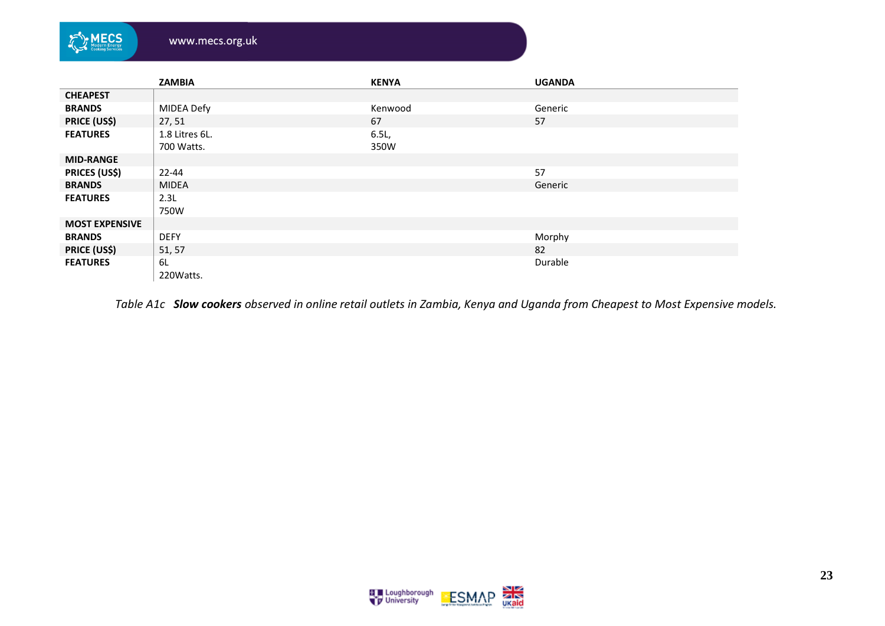| MECS<br>Modern Energy<br>Cooking Services | www.mecs.org.uk |              |               |
|-------------------------------------------|-----------------|--------------|---------------|
|                                           | <b>ZAMBIA</b>   | <b>KENYA</b> | <b>UGANDA</b> |
| <b>CHEAPEST</b>                           |                 |              |               |
| <b>BRANDS</b>                             | MIDEA Defy      | Kenwood      | Generic       |
| <b>PRICE (US\$)</b>                       | 27, 51          | 67           | 57            |
| <b>FEATURES</b>                           | 1.8 Litres 6L.  | 6.5L         |               |
|                                           | 700 Watts.      | 350W         |               |
| <b>MID-RANGE</b>                          |                 |              |               |
| <b>PRICES (US\$)</b>                      | $22 - 44$       |              | 57            |
| <b>BRANDS</b>                             | <b>MIDEA</b>    |              | Generic       |
| <b>FEATURES</b>                           | 2.3L            |              |               |
|                                           | 750W            |              |               |
| <b>MOST EXPENSIVE</b>                     |                 |              |               |
| <b>BRANDS</b>                             | <b>DEFY</b>     |              | Morphy        |
| <b>PRICE (US\$)</b>                       | 51, 57          |              | 82            |
| <b>FEATURES</b>                           | 6L              |              | Durable       |
|                                           | 220 Watts.      |              |               |

*Table A1c Slow cookers observed in online retail outlets in Zambia, Kenya and Uganda from Cheapest to Most Expensive models.*

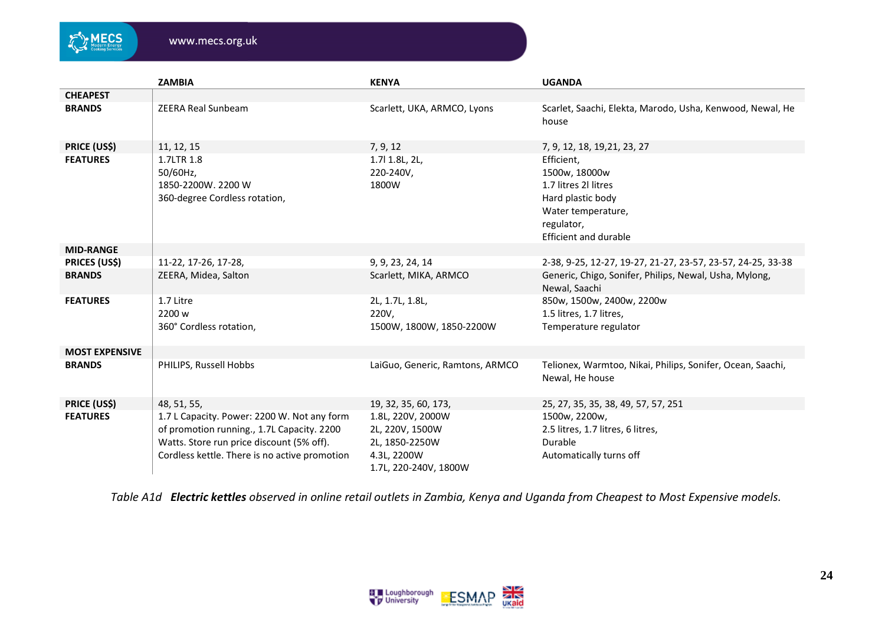

|                       | <b>ZAMBIA</b>                                                                                                                                                                           | <b>KENYA</b>                                                                                   | <b>UGANDA</b>                                                                                                                                |  |  |
|-----------------------|-----------------------------------------------------------------------------------------------------------------------------------------------------------------------------------------|------------------------------------------------------------------------------------------------|----------------------------------------------------------------------------------------------------------------------------------------------|--|--|
| <b>CHEAPEST</b>       |                                                                                                                                                                                         |                                                                                                |                                                                                                                                              |  |  |
| <b>BRANDS</b>         | <b>ZEERA Real Sunbeam</b>                                                                                                                                                               | Scarlett, UKA, ARMCO, Lyons                                                                    | Scarlet, Saachi, Elekta, Marodo, Usha, Kenwood, Newal, He<br>house                                                                           |  |  |
| <b>PRICE (US\$)</b>   | 11, 12, 15                                                                                                                                                                              | 7, 9, 12                                                                                       | 7, 9, 12, 18, 19, 21, 23, 27                                                                                                                 |  |  |
| <b>FEATURES</b>       | 1.7LTR 1.8<br>50/60Hz,<br>1850-2200W. 2200 W<br>360-degree Cordless rotation,                                                                                                           | 1.7   1.8 L, 2 L,<br>220-240V,<br>1800W                                                        | Efficient,<br>1500w, 18000w<br>1.7 litres 2l litres<br>Hard plastic body<br>Water temperature,<br>regulator,<br><b>Efficient and durable</b> |  |  |
| <b>MID-RANGE</b>      |                                                                                                                                                                                         |                                                                                                |                                                                                                                                              |  |  |
| <b>PRICES (US\$)</b>  | 11-22, 17-26, 17-28,                                                                                                                                                                    | 9, 9, 23, 24, 14                                                                               | 2-38, 9-25, 12-27, 19-27, 21-27, 23-57, 23-57, 24-25, 33-38                                                                                  |  |  |
| <b>BRANDS</b>         | ZEERA, Midea, Salton                                                                                                                                                                    | Scarlett, MIKA, ARMCO                                                                          | Generic, Chigo, Sonifer, Philips, Newal, Usha, Mylong,<br>Newal, Saachi                                                                      |  |  |
| <b>FEATURES</b>       | 1.7 Litre<br>2200 w<br>360° Cordless rotation,                                                                                                                                          | 2L, 1.7L, 1.8L,<br>220V,<br>1500W, 1800W, 1850-2200W                                           | 850w, 1500w, 2400w, 2200w<br>1.5 litres, 1.7 litres,<br>Temperature regulator                                                                |  |  |
| <b>MOST EXPENSIVE</b> |                                                                                                                                                                                         |                                                                                                |                                                                                                                                              |  |  |
| <b>BRANDS</b>         | PHILIPS, Russell Hobbs                                                                                                                                                                  | LaiGuo, Generic, Ramtons, ARMCO                                                                | Telionex, Warmtoo, Nikai, Philips, Sonifer, Ocean, Saachi,<br>Newal, He house                                                                |  |  |
| <b>PRICE (US\$)</b>   | 48, 51, 55,                                                                                                                                                                             | 19, 32, 35, 60, 173,                                                                           | 25, 27, 35, 35, 38, 49, 57, 57, 251                                                                                                          |  |  |
| <b>FEATURES</b>       | 1.7 L Capacity. Power: 2200 W. Not any form<br>of promotion running., 1.7L Capacity. 2200<br>Watts. Store run price discount (5% off).<br>Cordless kettle. There is no active promotion | 1.8L, 220V, 2000W<br>2L, 220V, 1500W<br>2L, 1850-2250W<br>4.3L, 2200W<br>1.7L, 220-240V, 1800W | 1500w, 2200w,<br>2.5 litres, 1.7 litres, 6 litres,<br>Durable<br>Automatically turns off                                                     |  |  |

*Table A1d Electric kettles observed in online retail outlets in Zambia, Kenya and Uganda from Cheapest to Most Expensive models.*

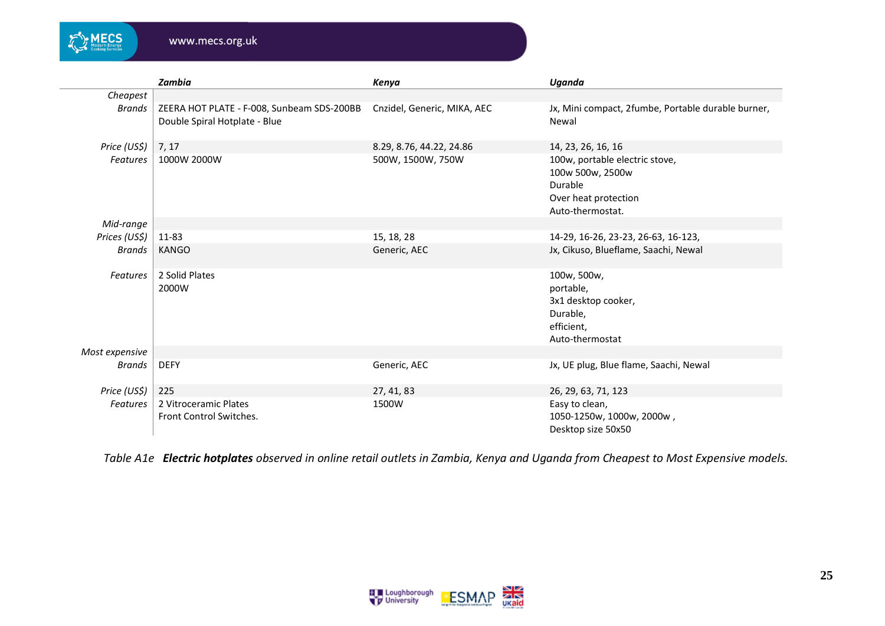**MECS** 

|                 | <b>Zambia</b>                                                               | Kenya                       | Uganda                                                                                                    |
|-----------------|-----------------------------------------------------------------------------|-----------------------------|-----------------------------------------------------------------------------------------------------------|
| Cheapest        |                                                                             |                             |                                                                                                           |
| <b>Brands</b>   | ZEERA HOT PLATE - F-008, Sunbeam SDS-200BB<br>Double Spiral Hotplate - Blue | Cnzidel, Generic, MIKA, AEC | Jx, Mini compact, 2fumbe, Portable durable burner,<br>Newal                                               |
| Price (US\$)    | 7, 17                                                                       | 8.29, 8.76, 44.22, 24.86    | 14, 23, 26, 16, 16                                                                                        |
| <b>Features</b> | 1000W 2000W                                                                 | 500W, 1500W, 750W           | 100w, portable electric stove,<br>100w 500w, 2500w<br>Durable<br>Over heat protection<br>Auto-thermostat. |
| Mid-range       |                                                                             |                             |                                                                                                           |
| Prices (US\$)   | 11-83                                                                       | 15, 18, 28                  | 14-29, 16-26, 23-23, 26-63, 16-123,                                                                       |
| Brands          | <b>KANGO</b>                                                                | Generic, AEC                | Jx, Cikuso, Blueflame, Saachi, Newal                                                                      |
| <b>Features</b> | 2 Solid Plates<br>2000W                                                     |                             | 100w, 500w,<br>portable,<br>3x1 desktop cooker,<br>Durable,<br>efficient,<br>Auto-thermostat              |
| Most expensive  |                                                                             |                             |                                                                                                           |
| Brands          | <b>DEFY</b>                                                                 | Generic, AEC                | Jx, UE plug, Blue flame, Saachi, Newal                                                                    |
| Price (US\$)    | 225                                                                         | 27, 41, 83                  | 26, 29, 63, 71, 123                                                                                       |
| <b>Features</b> | 2 Vitroceramic Plates<br>Front Control Switches.                            | 1500W                       | Easy to clean,<br>1050-1250w, 1000w, 2000w,<br>Desktop size 50x50                                         |

*Table A1e Electric hotplates observed in online retail outlets in Zambia, Kenya and Uganda from Cheapest to Most Expensive models.*

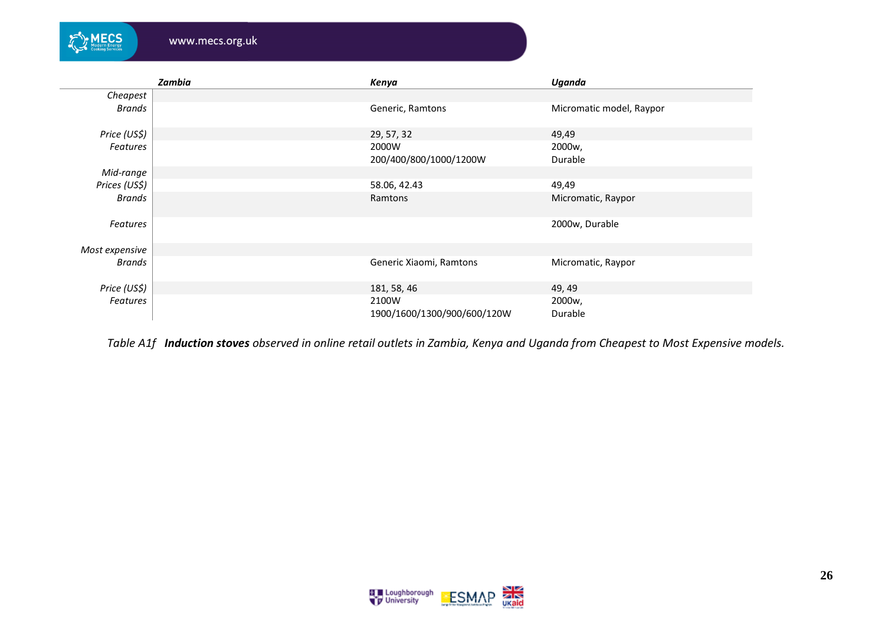|                 | Zambia | Kenya                                | Uganda                   |
|-----------------|--------|--------------------------------------|--------------------------|
| Cheapest        |        |                                      |                          |
| <b>Brands</b>   |        | Generic, Ramtons                     | Micromatic model, Raypor |
| Price (US\$)    |        | 29, 57, 32                           | 49,49                    |
| <b>Features</b> |        | 2000W                                | 2000w,                   |
|                 |        | 200/400/800/1000/1200W               | Durable                  |
| Mid-range       |        |                                      |                          |
| Prices (US\$)   |        | 58.06, 42.43                         | 49,49                    |
| Brands          |        | Ramtons                              | Micromatic, Raypor       |
| Features        |        |                                      | 2000w, Durable           |
| Most expensive  |        |                                      |                          |
| Brands          |        | Generic Xiaomi, Ramtons              | Micromatic, Raypor       |
| Price (US\$)    |        | 181, 58, 46                          | 49, 49                   |
| <b>Features</b> |        | 2100W<br>1900/1600/1300/900/600/120W | 2000w,<br>Durable        |

MECS

www.mecs.org.uk

*Table A1f Induction stoves observed in online retail outlets in Zambia, Kenya and Uganda from Cheapest to Most Expensive models.*

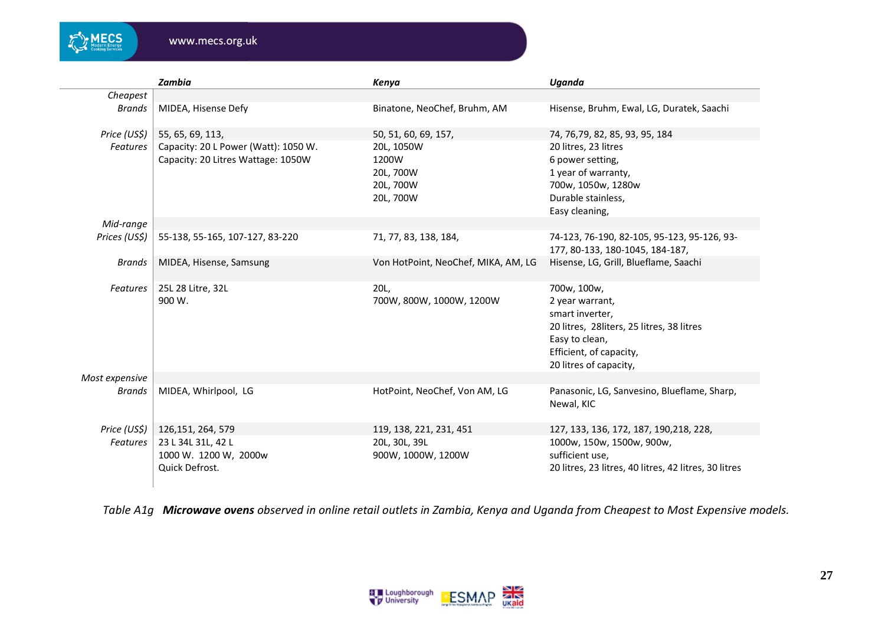

|                 | <b>Zambia</b>                        | Kenya                               | Uganda                                                                         |
|-----------------|--------------------------------------|-------------------------------------|--------------------------------------------------------------------------------|
| Cheapest        |                                      |                                     |                                                                                |
| <b>Brands</b>   | MIDEA, Hisense Defy                  | Binatone, NeoChef, Bruhm, AM        | Hisense, Bruhm, Ewal, LG, Duratek, Saachi                                      |
| Price (US\$)    | 55, 65, 69, 113,                     | 50, 51, 60, 69, 157,                | 74, 76, 79, 82, 85, 93, 95, 184                                                |
| <b>Features</b> | Capacity: 20 L Power (Watt): 1050 W. | 20L, 1050W                          | 20 litres, 23 litres                                                           |
|                 | Capacity: 20 Litres Wattage: 1050W   | 1200W                               | 6 power setting,                                                               |
|                 |                                      | 20L, 700W                           | 1 year of warranty,                                                            |
|                 |                                      | 20L, 700W                           | 700w, 1050w, 1280w                                                             |
|                 |                                      | 20L, 700W                           | Durable stainless,                                                             |
|                 |                                      |                                     | Easy cleaning,                                                                 |
| Mid-range       |                                      |                                     |                                                                                |
| Prices (US\$)   | 55-138, 55-165, 107-127, 83-220      | 71, 77, 83, 138, 184,               | 74-123, 76-190, 82-105, 95-123, 95-126, 93-<br>177, 80-133, 180-1045, 184-187, |
| <b>Brands</b>   | MIDEA, Hisense, Samsung              | Von HotPoint, NeoChef, MIKA, AM, LG | Hisense, LG, Grill, Blueflame, Saachi                                          |
| Features        | 25L 28 Litre, 32L                    | 20L,                                | 700w, 100w,                                                                    |
|                 | 900 W.                               | 700W, 800W, 1000W, 1200W            | 2 year warrant,                                                                |
|                 |                                      |                                     | smart inverter,                                                                |
|                 |                                      |                                     | 20 litres, 28 liters, 25 litres, 38 litres                                     |
|                 |                                      |                                     | Easy to clean,                                                                 |
|                 |                                      |                                     | Efficient, of capacity,                                                        |
|                 |                                      |                                     | 20 litres of capacity,                                                         |
| Most expensive  |                                      |                                     |                                                                                |
| <b>Brands</b>   | MIDEA, Whirlpool, LG                 | HotPoint, NeoChef, Von AM, LG       | Panasonic, LG, Sanvesino, Blueflame, Sharp,<br>Newal, KIC                      |
| Price (US\$)    | 126, 151, 264, 579                   | 119, 138, 221, 231, 451             | 127, 133, 136, 172, 187, 190, 218, 228,                                        |
| <b>Features</b> | 23 L 34L 31L, 42 L                   | 20L, 30L, 39L                       | 1000w, 150w, 1500w, 900w,                                                      |
|                 | 1000 W. 1200 W, 2000w                | 900W, 1000W, 1200W                  | sufficient use,                                                                |
|                 | Quick Defrost.                       |                                     | 20 litres, 23 litres, 40 litres, 42 litres, 30 litres                          |

*Table A1g Microwave ovens observed in online retail outlets in Zambia, Kenya and Uganda from Cheapest to Most Expensive models.*

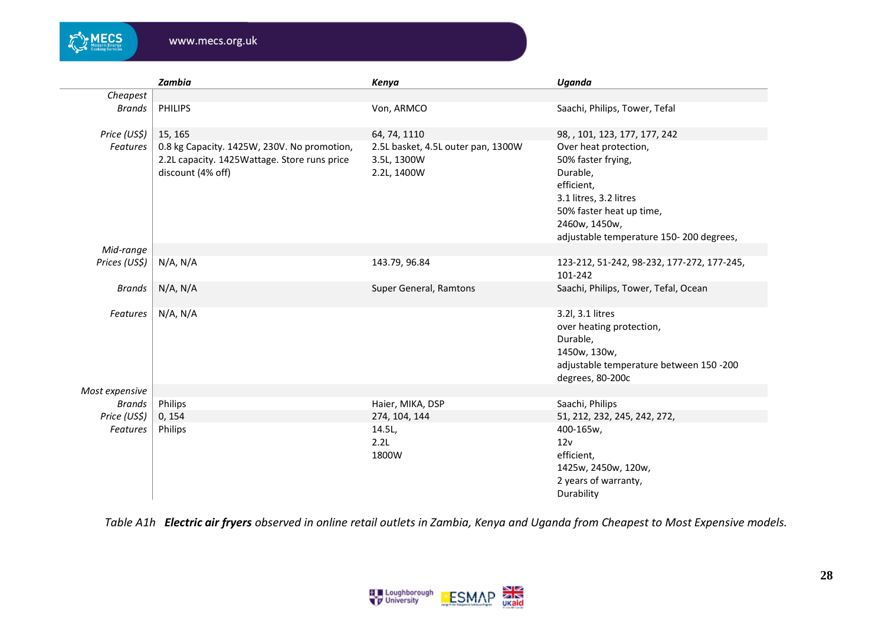

|                 | Zambia                                                                                                           | Kenya                                                            | Uganda                                                                                                                                                                                  |
|-----------------|------------------------------------------------------------------------------------------------------------------|------------------------------------------------------------------|-----------------------------------------------------------------------------------------------------------------------------------------------------------------------------------------|
| Cheapest        |                                                                                                                  |                                                                  |                                                                                                                                                                                         |
| Brands          | <b>PHILIPS</b>                                                                                                   | Von, ARMCO                                                       | Saachi, Philips, Tower, Tefal                                                                                                                                                           |
| Price (US\$)    | 15, 165                                                                                                          | 64, 74, 1110                                                     | 98, , 101, 123, 177, 177, 242                                                                                                                                                           |
| Features        | 0.8 kg Capacity. 1425W, 230V. No promotion,<br>2.2L capacity. 1425Wattage. Store runs price<br>discount (4% off) | 2.5L basket, 4.5L outer pan, 1300W<br>3.5L, 1300W<br>2.2L, 1400W | Over heat protection,<br>50% faster frying,<br>Durable,<br>efficient,<br>3.1 litres, 3.2 litres<br>50% faster heat up time,<br>2460w, 1450w,<br>adjustable temperature 150-200 degrees, |
| Mid-range       |                                                                                                                  |                                                                  |                                                                                                                                                                                         |
| Prices (US\$)   | N/A, N/A                                                                                                         | 143.79, 96.84                                                    | 123-212, 51-242, 98-232, 177-272, 177-245,<br>101-242                                                                                                                                   |
| <b>Brands</b>   | $N/A$ , $N/A$                                                                                                    | Super General, Ramtons                                           | Saachi, Philips, Tower, Tefal, Ocean                                                                                                                                                    |
| Features        | N/A, N/A                                                                                                         |                                                                  | 3.2l, 3.1 litres<br>over heating protection,<br>Durable,<br>1450w, 130w,<br>adjustable temperature between 150 -200<br>degrees, 80-200c                                                 |
| Most expensive  |                                                                                                                  |                                                                  |                                                                                                                                                                                         |
| Brands          | Philips                                                                                                          | Haier, MIKA, DSP                                                 | Saachi, Philips                                                                                                                                                                         |
| Price (US\$)    | 0, 154                                                                                                           | 274, 104, 144                                                    | 51, 212, 232, 245, 242, 272,                                                                                                                                                            |
| <b>Features</b> | Philips                                                                                                          | 14.5L,<br>2.2L<br>1800W                                          | 400-165w,<br>12v<br>efficient,<br>1425w, 2450w, 120w,<br>2 years of warranty,<br>Durability                                                                                             |

*Table A1h Electric air fryers observed in online retail outlets in Zambia, Kenya and Uganda from Cheapest to Most Expensive models.*

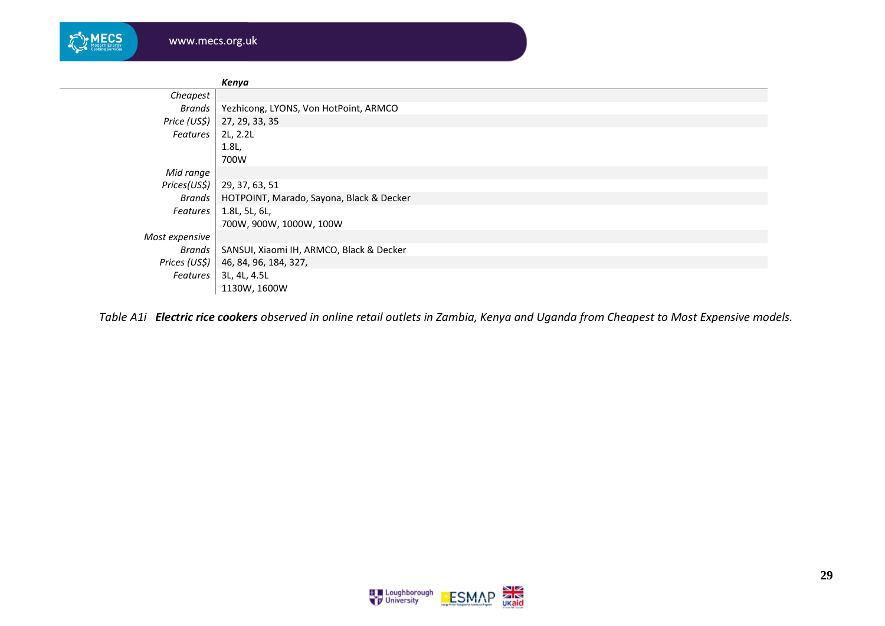| <b>Modern Energy<br/>Cooking Services</b> |  |
|-------------------------------------------|--|
|-------------------------------------------|--|

|                | Kenya                                    |
|----------------|------------------------------------------|
| Cheapest       |                                          |
| Brands         | Yezhicong, LYONS, Von HotPoint, ARMCO    |
| Price (US\$)   | 27, 29, 33, 35                           |
| Features       | 2L, 2.2L                                 |
|                | 1.8L,                                    |
|                | 700W                                     |
| Mid range      |                                          |
| Prices(US\$)   | 29, 37, 63, 51                           |
| Brands         | HOTPOINT, Marado, Sayona, Black & Decker |
| Features       | 1.8L, 5L, 6L,                            |
|                | 700W, 900W, 1000W, 100W                  |
| Most expensive |                                          |
| Brands         | SANSUI, Xiaomi IH, ARMCO, Black & Decker |
| Prices (US\$)  | 46, 84, 96, 184, 327,                    |
| Features       | 3L, 4L, 4.5L                             |
|                | 1130W, 1600W                             |

*Table A1i Electric rice cookers observed in online retail outlets in Zambia, Kenya and Uganda from Cheapest to Most Expensive models.*

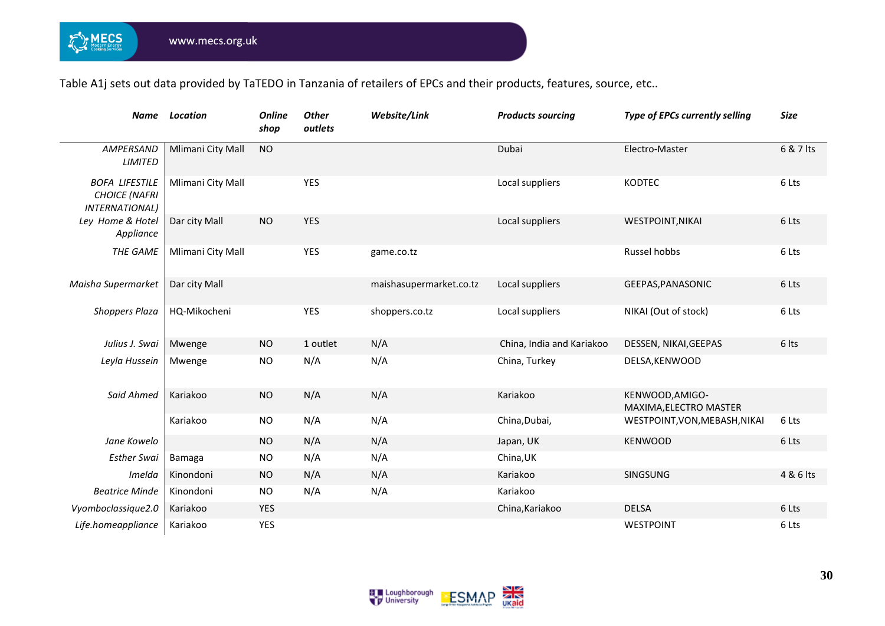MECS

Table A1j sets out data provided by TaTEDO in Tanzania of retailers of EPCs and their products, features, source, etc..

| <b>Name</b>                                                            | <b>Location</b>   | <b>Online</b><br>shop | <b>Other</b><br>outlets | Website/Link            | <b>Products sourcing</b>  | Type of EPCs currently selling            | <b>Size</b> |
|------------------------------------------------------------------------|-------------------|-----------------------|-------------------------|-------------------------|---------------------------|-------------------------------------------|-------------|
| AMPERSAND<br><b>LIMITED</b>                                            | Mlimani City Mall | <b>NO</b>             |                         |                         | Dubai                     | Electro-Master                            | 6 & 7 lts   |
| <b>BOFA LIFESTILE</b><br><b>CHOICE (NAFRI</b><br><b>INTERNATIONAL)</b> | Mlimani City Mall |                       | <b>YES</b>              |                         | Local suppliers           | <b>KODTEC</b>                             | 6 Lts       |
| Ley Home & Hotel<br>Appliance                                          | Dar city Mall     | <b>NO</b>             | <b>YES</b>              |                         | Local suppliers           | <b>WESTPOINT, NIKAI</b>                   | 6 Lts       |
| THE GAME                                                               | Mlimani City Mall |                       | <b>YES</b>              | game.co.tz              |                           | Russel hobbs                              | 6 Lts       |
| Maisha Supermarket                                                     | Dar city Mall     |                       |                         | maishasupermarket.co.tz | Local suppliers           | GEEPAS, PANASONIC                         | 6 Lts       |
| <b>Shoppers Plaza</b>                                                  | HQ-Mikocheni      |                       | <b>YES</b>              | shoppers.co.tz          | Local suppliers           | NIKAI (Out of stock)                      | 6 Lts       |
| Julius J. Swai                                                         | Mwenge            | <b>NO</b>             | 1 outlet                | N/A                     | China, India and Kariakoo | DESSEN, NIKAI, GEEPAS                     | 6 lts       |
| Leyla Hussein                                                          | Mwenge            | <b>NO</b>             | N/A                     | N/A                     | China, Turkey             | DELSA, KENWOOD                            |             |
| Said Ahmed                                                             | Kariakoo          | <b>NO</b>             | N/A                     | N/A                     | Kariakoo                  | KENWOOD, AMIGO-<br>MAXIMA, ELECTRO MASTER |             |
|                                                                        | Kariakoo          | NO.                   | N/A                     | N/A                     | China, Dubai,             | WESTPOINT, VON, MEBASH, NIKAI             | 6 Lts       |
| Jane Kowelo                                                            |                   | <b>NO</b>             | N/A                     | N/A                     | Japan, UK                 | <b>KENWOOD</b>                            | 6 Lts       |
| <b>Esther Swai</b>                                                     | Bamaga            | NO.                   | N/A                     | N/A                     | China, UK                 |                                           |             |
| Imelda                                                                 | Kinondoni         | <b>NO</b>             | N/A                     | N/A                     | Kariakoo                  | SINGSUNG                                  | 4 & 6 lts   |
| <b>Beatrice Minde</b>                                                  | Kinondoni         | NO.                   | N/A                     | N/A                     | Kariakoo                  |                                           |             |
| Vyomboclassique2.0                                                     | Kariakoo          | YES                   |                         |                         | China, Kariakoo           | <b>DELSA</b>                              | 6 Lts       |
| Life.homeappliance                                                     | Kariakoo          | <b>YES</b>            |                         |                         |                           | WESTPOINT                                 | 6 Lts       |

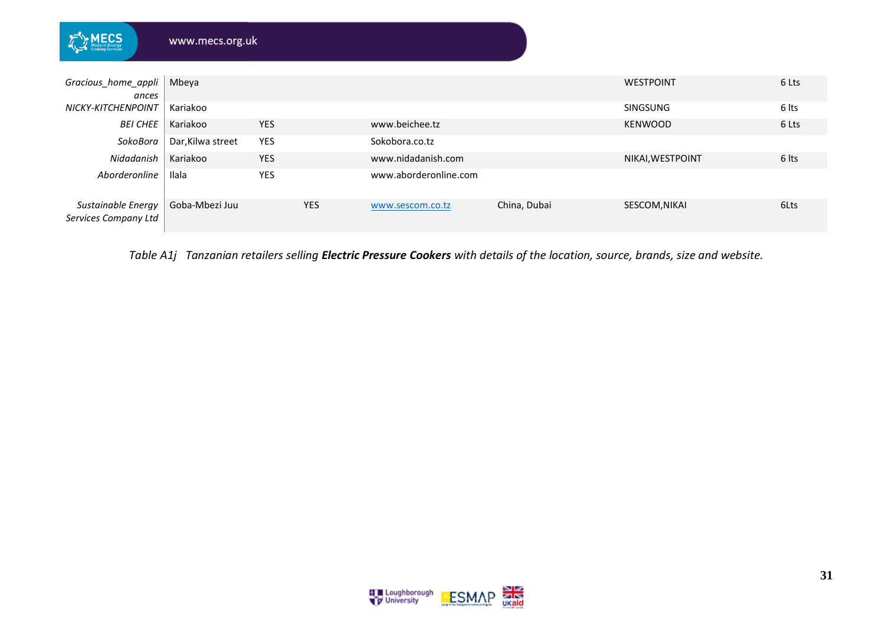| <b>ECS</b>                                 | www.mecs.org.uk   |            |            |                       |              |                  |       |
|--------------------------------------------|-------------------|------------|------------|-----------------------|--------------|------------------|-------|
|                                            |                   |            |            |                       |              |                  |       |
| Gracious_home_appli<br>ances               | Mbeya             |            |            |                       |              | WESTPOINT        | 6 Lts |
| NICKY-KITCHENPOINT                         | Kariakoo          |            |            |                       |              | <b>SINGSUNG</b>  | 6 Its |
| <b>BEI CHEE</b>                            | Kariakoo          | <b>YES</b> |            | www.beichee.tz        |              | <b>KENWOOD</b>   | 6 Lts |
| SokoBora                                   | Dar, Kilwa street | <b>YES</b> |            | Sokobora.co.tz        |              |                  |       |
| Nidadanish                                 | Kariakoo          | <b>YES</b> |            | www.nidadanish.com    |              | NIKAI, WESTPOINT | 6 lts |
| Aborderonline                              | Ilala             | YES        |            | www.aborderonline.com |              |                  |       |
| Sustainable Energy<br>Services Company Ltd | Goba-Mbezi Juu    |            | <b>YES</b> | www.sescom.co.tz      | China, Dubai | SESCOM, NIKAI    | 6Lts  |

*Table A1j Tanzanian retailers selling Electric Pressure Cookers with details of the location, source, brands, size and website.*

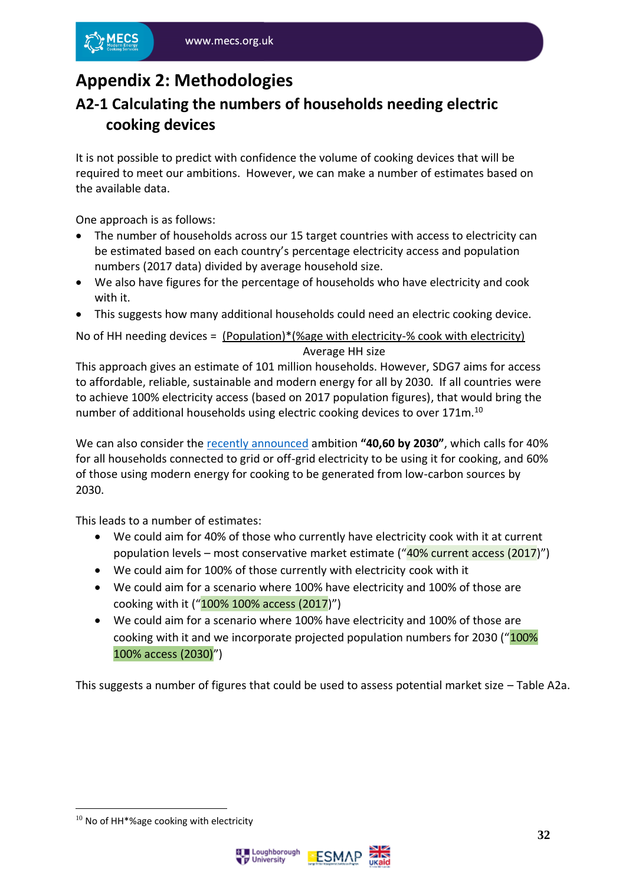# <span id="page-31-0"></span>**Appendix 2: Methodologies**

#### <span id="page-31-1"></span>**A2-1 Calculating the numbers of households needing electric cooking devices**

It is not possible to predict with confidence the volume of cooking devices that will be required to meet our ambitions. However, we can make a number of estimates based on the available data.

One approach is as follows:

- The number of households across our 15 target countries with access to electricity can be estimated based on each country's percentage electricity access and population numbers (2017 data) divided by average household size.
- We also have figures for the percentage of households who have electricity and cook with it.
- This suggests how many additional households could need an electric cooking device.

No of HH needing devices = (Population)\*(%age with electricity-% cook with electricity) Average HH size

This approach gives an estimate of 101 million households. However, SDG7 aims for access to affordable, reliable, sustainable and modern energy for all by 2030. If all countries were to achieve 100% electricity access (based on 2017 population figures), that would bring the number of additional households using electric cooking devices to over 171m.<sup>10</sup>

We can also consider the [recently announced](https://mecs.org.uk/mecs-research-praised-at-ministerial-thematic-forums-side-event/) ambition **"40,60 by 2030"**, which calls for 40% for all households connected to grid or off-grid electricity to be using it for cooking, and 60% of those using modern energy for cooking to be generated from low-carbon sources by 2030.

This leads to a number of estimates:

- We could aim for 40% of those who currently have electricity cook with it at current population levels – most conservative market estimate (" $40\%$  current access (2017)")
- We could aim for 100% of those currently with electricity cook with it
- We could aim for a scenario where 100% have electricity and 100% of those are cooking with it ("100% 100% access (2017)")
- We could aim for a scenario where 100% have electricity and 100% of those are cooking with it and we incorporate projected population numbers for 2030 ("100% 100% access (2030)")

This suggests a number of figures that could be used to assess potential market size – Table A2a.

<sup>&</sup>lt;sup>10</sup> No of HH\*%age cooking with electricity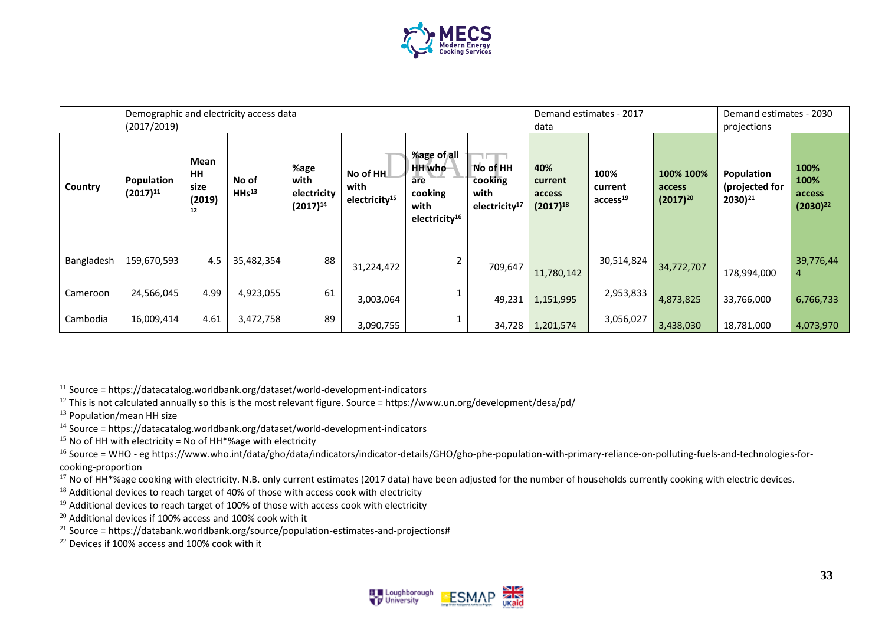

|            | (2017/2019)                 | Demographic and electricity access data   |                            |                                              |                                               |                                                                              |                                                          | Demand estimates - 2017<br>data           |                                         |                                      | Demand estimates - 2030<br>projections              |                                         |
|------------|-----------------------------|-------------------------------------------|----------------------------|----------------------------------------------|-----------------------------------------------|------------------------------------------------------------------------------|----------------------------------------------------------|-------------------------------------------|-----------------------------------------|--------------------------------------|-----------------------------------------------------|-----------------------------------------|
| Country    | Population<br>$(2017)^{11}$ | <b>Mean</b><br>HH<br>size<br>(2019)<br>12 | No of<br>HHs <sup>13</sup> | %age<br>with<br>electricity<br>$(2017)^{14}$ | No of HH<br>with<br>electricity <sup>15</sup> | %age of all<br>HH who<br>are<br>cooking<br>with<br>electricity <sup>16</sup> | No of HH<br>cooking<br>with<br>electricity <sup>17</sup> | 40%<br>current<br>access<br>$(2017)^{18}$ | 100%<br>current<br>access <sup>19</sup> | 100% 100%<br>access<br>$(2017)^{20}$ | <b>Population</b><br>(projected for<br>$2030)^{21}$ | 100%<br>100%<br>access<br>$(2030)^{22}$ |
| Bangladesh | 159,670,593                 | 4.5                                       | 35,482,354                 | 88                                           | 31,224,472                                    | 2                                                                            | 709,647                                                  | 11,780,142                                | 30,514,824                              | 34,772,707                           | 178,994,000                                         | 39,776,44<br>4                          |
| Cameroon   | 24,566,045                  | 4.99                                      | 4,923,055                  | 61                                           | 3,003,064                                     |                                                                              | 49,231                                                   | 1,151,995                                 | 2,953,833                               | 4,873,825                            | 33,766,000                                          | 6,766,733                               |
| Cambodia   | 16,009,414                  | 4.61                                      | 3,472,758                  | 89                                           | 3,090,755                                     |                                                                              | 34,728                                                   | 1,201,574                                 | 3,056,027                               | 3,438,030                            | 18,781,000                                          | 4,073,970                               |



 $11$  Source = https://datacatalog.worldbank.org/dataset/world-development-indicators

 $12$  This is not calculated annually so this is the most relevant figure. Source = https://www.un.org/development/desa/pd/

<sup>&</sup>lt;sup>13</sup> Population/mean HH size

 $14$  Source = https://datacatalog.worldbank.org/dataset/world-development-indicators

 $15$  No of HH with electricity = No of HH\*%age with electricity

 $16$  Source = WHO - eg https://www.who.int/data/gho/data/indicators/indicator-details/GHO/gho-phe-population-with-primary-reliance-on-polluting-fuels-and-technologies-forcooking-proportion

<sup>&</sup>lt;sup>17</sup> No of HH\*%age cooking with electricity. N.B. only current estimates (2017 data) have been adjusted for the number of households currently cooking with electric devices.

 $18$  Additional devices to reach target of 40% of those with access cook with electricity

 $19$  Additional devices to reach target of 100% of those with access cook with electricity

 $20$  Additional devices if 100% access and 100% cook with it

<sup>&</sup>lt;sup>21</sup> Source = https://databank.worldbank.org/source/population-estimates-and-projections#

<sup>&</sup>lt;sup>22</sup> Devices if 100% access and 100% cook with it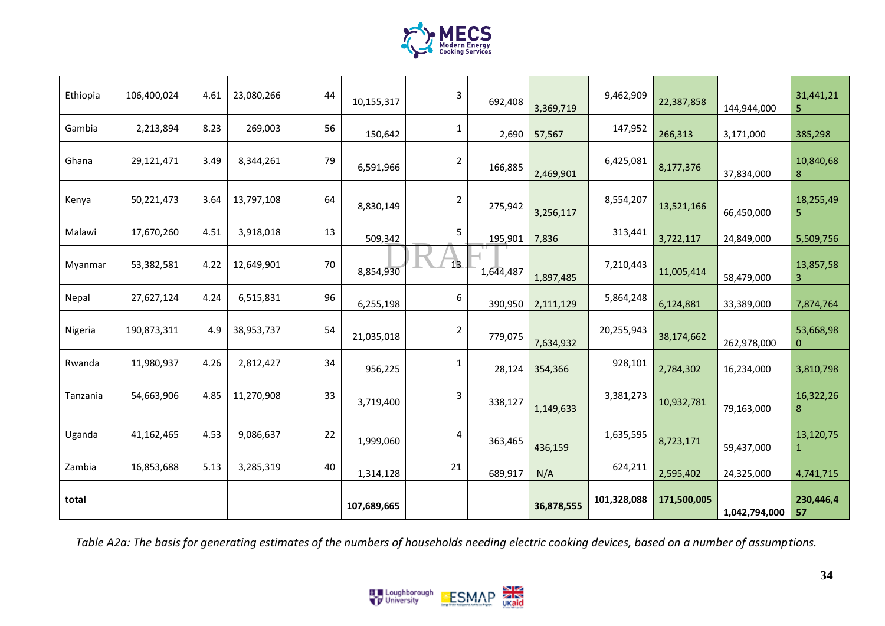

| Ethiopia | 106,400,024 | 4.61 | 23,080,266 | 44     | 10,155,317  | 3              | 692,408   | 3,369,719  | 9,462,909   | 22,387,858  | 144,944,000   | 31,441,21<br>5  |
|----------|-------------|------|------------|--------|-------------|----------------|-----------|------------|-------------|-------------|---------------|-----------------|
| Gambia   | 2,213,894   | 8.23 | 269,003    | 56     | 150,642     | 1              | 2,690     | 57,567     | 147,952     | 266,313     | 3,171,000     | 385,298         |
| Ghana    | 29,121,471  | 3.49 | 8,344,261  | 79     | 6,591,966   | $\overline{2}$ | 166,885   | 2,469,901  | 6,425,081   | 8,177,376   | 37,834,000    | 10,840,68<br>8  |
| Kenya    | 50,221,473  | 3.64 | 13,797,108 | 64     | 8,830,149   | 2              | 275,942   | 3,256,117  | 8,554,207   | 13,521,166  | 66,450,000    | 18,255,49<br>5. |
| Malawi   | 17,670,260  | 4.51 | 3,918,018  | 13     | 509,342     | 5              | 195,901   | 7,836      | 313,441     | 3,722,117   | 24,849,000    | 5,509,756       |
| Myanmar  | 53,382,581  | 4.22 | 12,649,901 | $70\,$ | 8,854,930   | 13             | 1,644,487 | 1,897,485  | 7,210,443   | 11,005,414  | 58,479,000    | 13,857,58<br>3  |
| Nepal    | 27,627,124  | 4.24 | 6,515,831  | 96     | 6,255,198   | 6              | 390,950   | 2,111,129  | 5,864,248   | 6,124,881   | 33,389,000    | 7,874,764       |
| Nigeria  | 190,873,311 | 4.9  | 38,953,737 | 54     | 21,035,018  | 2              | 779,075   | 7,634,932  | 20,255,943  | 38,174,662  | 262,978,000   | 53,668,98<br>0  |
| Rwanda   | 11,980,937  | 4.26 | 2,812,427  | 34     | 956,225     | 1              | 28,124    | 354,366    | 928,101     | 2,784,302   | 16,234,000    | 3,810,798       |
| Tanzania | 54,663,906  | 4.85 | 11,270,908 | 33     | 3,719,400   | 3              | 338,127   | 1,149,633  | 3,381,273   | 10,932,781  | 79,163,000    | 16,322,26<br>8  |
| Uganda   | 41,162,465  | 4.53 | 9,086,637  | 22     | 1,999,060   | 4              | 363,465   | 436,159    | 1,635,595   | 8,723,171   | 59,437,000    | 13,120,75<br>1  |
| Zambia   | 16,853,688  | 5.13 | 3,285,319  | 40     | 1,314,128   | 21             | 689,917   | N/A        | 624,211     | 2,595,402   | 24,325,000    | 4,741,715       |
| total    |             |      |            |        | 107,689,665 |                |           | 36,878,555 | 101,328,088 | 171,500,005 | 1,042,794,000 | 230,446,4<br>57 |

*Table A2a: The basis for generating estimates of the numbers of households needing electric cooking devices, based on a number of assumptions.*

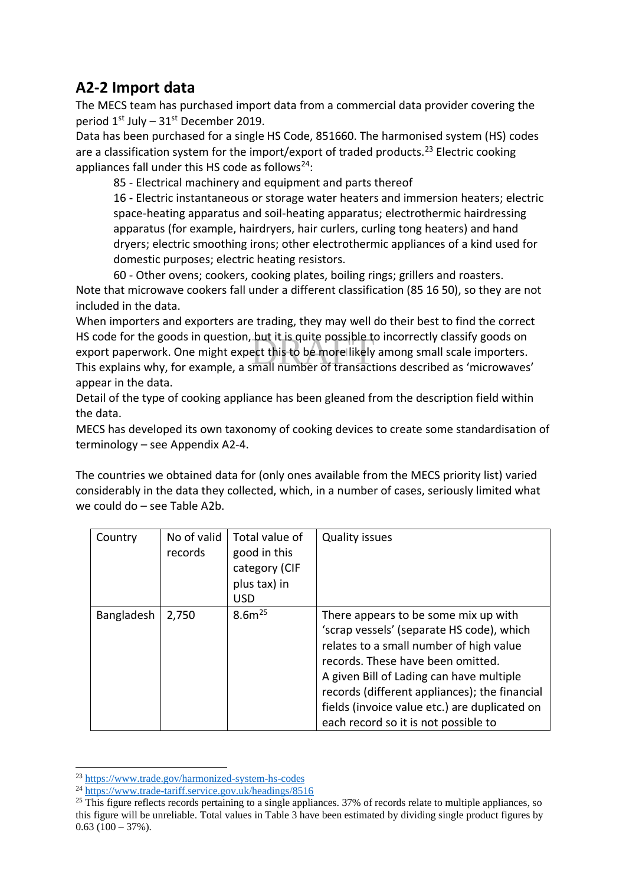#### <span id="page-34-0"></span>**A2-2 Import data**

The MECS team has purchased import data from a commercial data provider covering the period  $1<sup>st</sup>$  July –  $31<sup>st</sup>$  December 2019.

Data has been purchased for a single HS Code, 851660. The harmonised system (HS) codes are a classification system for the import/export of traded products.<sup>23</sup> Electric cooking appliances fall under this HS code as follows $24$ :

85 - Electrical machinery and equipment and parts thereof

16 - Electric instantaneous or storage water heaters and immersion heaters; electric space-heating apparatus and soil-heating apparatus; electrothermic hairdressing apparatus (for example, hairdryers, hair curlers, curling tong heaters) and hand dryers; electric smoothing irons; other electrothermic appliances of a kind used for domestic purposes; electric heating resistors.

60 - Other ovens; cookers, cooking plates, boiling rings; grillers and roasters. Note that microwave cookers fall under a different classification (85 16 50), so they are not included in the data.

-but it is quite possible t<br>ect this to be more likely<br>imall number of transact When importers and exporters are trading, they may well do their best to find the correct HS code for the goods in question, but it is quite possible to incorrectly classify goods on export paperwork. One might expect this to be more likely among small scale importers. This explains why, for example, a small number of transactions described as 'microwaves' appear in the data.

Detail of the type of cooking appliance has been gleaned from the description field within the data.

MECS has developed its own taxonomy of cooking devices to create some standardisation of terminology – see Appendix A2-4.

The countries we obtained data for (only ones available from the MECS priority list) varied considerably in the data they collected, which, in a number of cases, seriously limited what we could do – see Table A2b.

| Country    | No of valid<br>records | Total value of<br>good in this<br>category (CIF<br>plus tax) in<br><b>USD</b> | <b>Quality issues</b>                                                                                                                                                                                                                                                                                                                                   |
|------------|------------------------|-------------------------------------------------------------------------------|---------------------------------------------------------------------------------------------------------------------------------------------------------------------------------------------------------------------------------------------------------------------------------------------------------------------------------------------------------|
| Bangladesh | 2,750                  | $8.6m^{25}$                                                                   | There appears to be some mix up with<br>'scrap vessels' (separate HS code), which<br>relates to a small number of high value<br>records. These have been omitted.<br>A given Bill of Lading can have multiple<br>records (different appliances); the financial<br>fields (invoice value etc.) are duplicated on<br>each record so it is not possible to |

<sup>23</sup> <https://www.trade.gov/harmonized-system-hs-codes>

<sup>24</sup> <https://www.trade-tariff.service.gov.uk/headings/8516>

 $^{25}$  This figure reflects records pertaining to a single appliances. 37% of records relate to multiple appliances, so this figure will be unreliable. Total values in Table 3 have been estimated by dividing single product figures by  $0.63$  (100 – 37%).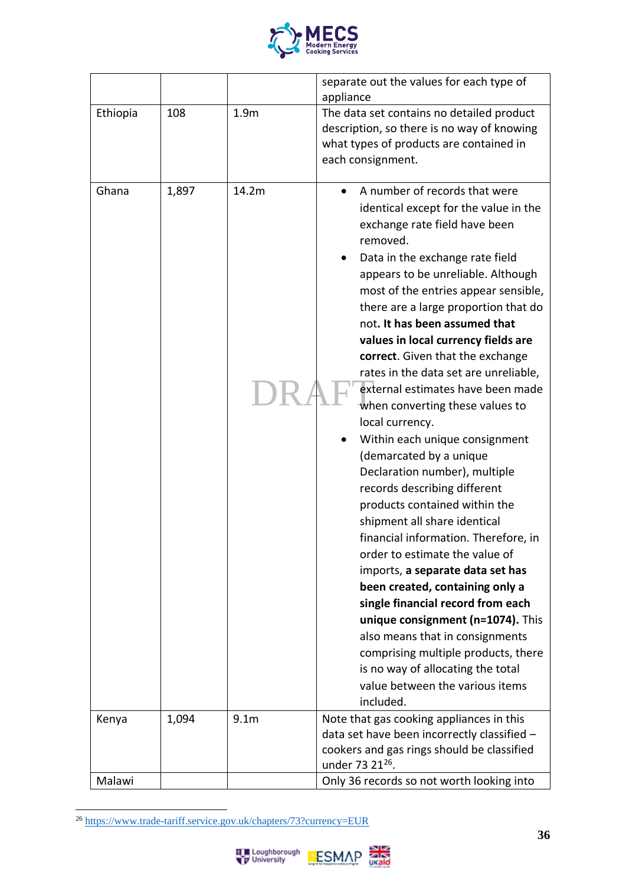

|          |       |                  | separate out the values for each type of<br>appliance                                                                                                                                                                                                                                                                                                                                                                                                                                                                                                                                                                                                                                                                                                                                                                                                                                                                                                                                                                                                                                                                 |  |  |
|----------|-------|------------------|-----------------------------------------------------------------------------------------------------------------------------------------------------------------------------------------------------------------------------------------------------------------------------------------------------------------------------------------------------------------------------------------------------------------------------------------------------------------------------------------------------------------------------------------------------------------------------------------------------------------------------------------------------------------------------------------------------------------------------------------------------------------------------------------------------------------------------------------------------------------------------------------------------------------------------------------------------------------------------------------------------------------------------------------------------------------------------------------------------------------------|--|--|
| Ethiopia | 108   | 1.9 <sub>m</sub> | The data set contains no detailed product<br>description, so there is no way of knowing<br>what types of products are contained in<br>each consignment.                                                                                                                                                                                                                                                                                                                                                                                                                                                                                                                                                                                                                                                                                                                                                                                                                                                                                                                                                               |  |  |
| Ghana    | 1,897 | 14.2m            | A number of records that were<br>identical except for the value in the<br>exchange rate field have been<br>removed.<br>Data in the exchange rate field<br>appears to be unreliable. Although<br>most of the entries appear sensible,<br>there are a large proportion that do<br>not. It has been assumed that<br>values in local currency fields are<br>correct. Given that the exchange<br>rates in the data set are unreliable,<br>external estimates have been made<br>when converting these values to<br>local currency.<br>Within each unique consignment<br>(demarcated by a unique<br>Declaration number), multiple<br>records describing different<br>products contained within the<br>shipment all share identical<br>financial information. Therefore, in<br>order to estimate the value of<br>imports, a separate data set has<br>been created, containing only a<br>single financial record from each<br>unique consignment (n=1074). This<br>also means that in consignments<br>comprising multiple products, there<br>is no way of allocating the total<br>value between the various items<br>included. |  |  |
| Kenya    | 1,094 | 9.1 <sub>m</sub> | Note that gas cooking appliances in this<br>data set have been incorrectly classified -<br>cookers and gas rings should be classified                                                                                                                                                                                                                                                                                                                                                                                                                                                                                                                                                                                                                                                                                                                                                                                                                                                                                                                                                                                 |  |  |
|          |       |                  | under 73 21 <sup>26</sup> .                                                                                                                                                                                                                                                                                                                                                                                                                                                                                                                                                                                                                                                                                                                                                                                                                                                                                                                                                                                                                                                                                           |  |  |
| Malawi   |       |                  | Only 36 records so not worth looking into                                                                                                                                                                                                                                                                                                                                                                                                                                                                                                                                                                                                                                                                                                                                                                                                                                                                                                                                                                                                                                                                             |  |  |

<sup>26</sup> <https://www.trade-tariff.service.gov.uk/chapters/73?currency=EUR>

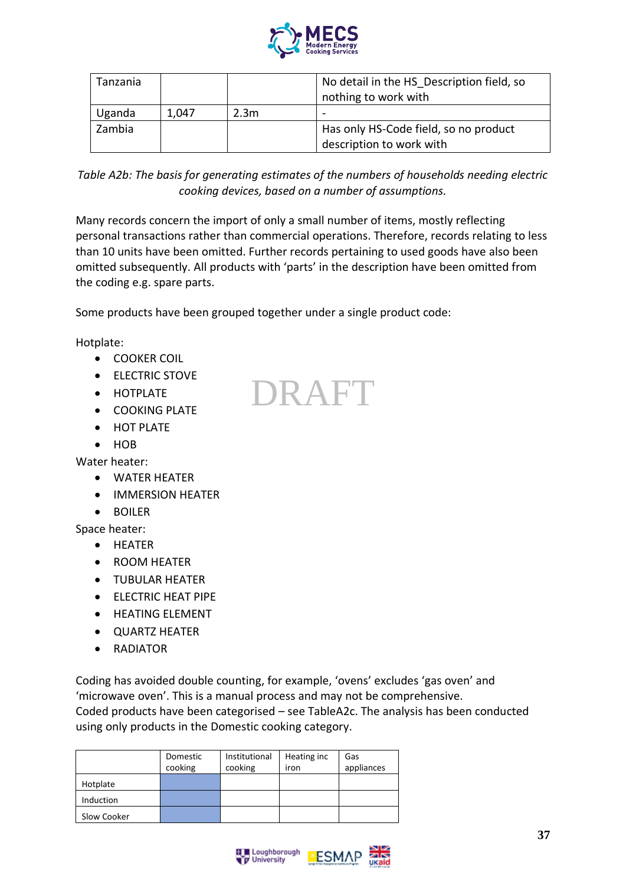

| Tanzania |       |                  | No detail in the HS Description field, so<br>nothing to work with |
|----------|-------|------------------|-------------------------------------------------------------------|
| Uganda   | 1.047 | 2.3 <sub>m</sub> |                                                                   |
| Zambia   |       |                  | Has only HS-Code field, so no product                             |
|          |       |                  | description to work with                                          |

*Table A2b: The basis for generating estimates of the numbers of households needing electric cooking devices, based on a number of assumptions.*

Many records concern the import of only a small number of items, mostly reflecting personal transactions rather than commercial operations. Therefore, records relating to less than 10 units have been omitted. Further records pertaining to used goods have also been omitted subsequently. All products with 'parts' in the description have been omitted from the coding e.g. spare parts.

DRAFT

Some products have been grouped together under a single product code:

Hotplate:

- COOKER COIL
- ELECTRIC STOVE
- HOTPLATE
- COOKING PLATE
- HOT PLATE
- HOB

Water heater:

- WATER HEATER
- IMMERSION HEATER
- BOILER

Space heater:

- HEATER
- ROOM HEATER
- TUBULAR HEATER
- **•** ELECTRIC HEAT PIPE
- HEATING ELEMENT
- QUARTZ HEATER
- RADIATOR

Coding has avoided double counting, for example, 'ovens' excludes 'gas oven' and 'microwave oven'. This is a manual process and may not be comprehensive. Coded products have been categorised – see [TableA](#page-37-1)2c. The analysis has been conducted using only products in the Domestic cooking category.

|             | Domestic<br>cooking | Institutional<br>cooking | Heating inc<br>iron | Gas<br>appliances |
|-------------|---------------------|--------------------------|---------------------|-------------------|
| Hotplate    |                     |                          |                     |                   |
| Induction   |                     |                          |                     |                   |
| Slow Cooker |                     |                          |                     |                   |



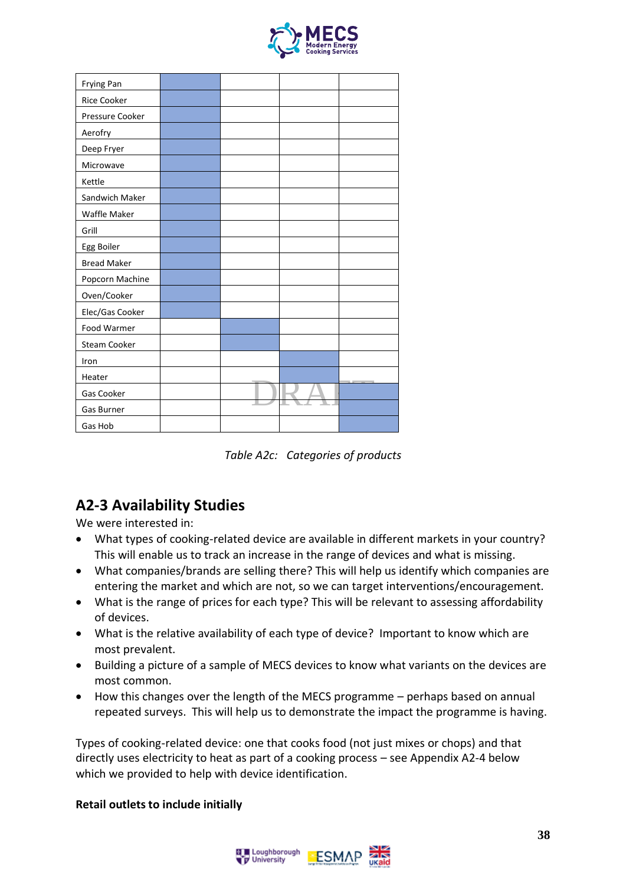

| Frying Pan         |  |  |
|--------------------|--|--|
| Rice Cooker        |  |  |
| Pressure Cooker    |  |  |
| Aerofry            |  |  |
| Deep Fryer         |  |  |
| Microwave          |  |  |
| Kettle             |  |  |
| Sandwich Maker     |  |  |
| Waffle Maker       |  |  |
| Grill              |  |  |
| Egg Boiler         |  |  |
| <b>Bread Maker</b> |  |  |
| Popcorn Machine    |  |  |
| Oven/Cooker        |  |  |
| Elec/Gas Cooker    |  |  |
| Food Warmer        |  |  |
| Steam Cooker       |  |  |
| Iron               |  |  |
| Heater             |  |  |
| Gas Cooker         |  |  |
| Gas Burner         |  |  |
| Gas Hob            |  |  |

*Table A2c: Categories of products*

### <span id="page-37-1"></span><span id="page-37-0"></span>**A2-3 Availability Studies**

We were interested in:

- What types of cooking-related device are available in different markets in your country? This will enable us to track an increase in the range of devices and what is missing.
- What companies/brands are selling there? This will help us identify which companies are entering the market and which are not, so we can target interventions/encouragement.
- What is the range of prices for each type? This will be relevant to assessing affordability of devices.
- What is the relative availability of each type of device? Important to know which are most prevalent.
- Building a picture of a sample of MECS devices to know what variants on the devices are most common.
- How this changes over the length of the MECS programme perhaps based on annual repeated surveys. This will help us to demonstrate the impact the programme is having.

Types of cooking-related device: one that cooks food (not just mixes or chops) and that directly uses electricity to heat as part of a cooking process – see Appendix A2-4 below which we provided to help with device identification.

#### **Retail outlets to include initially**

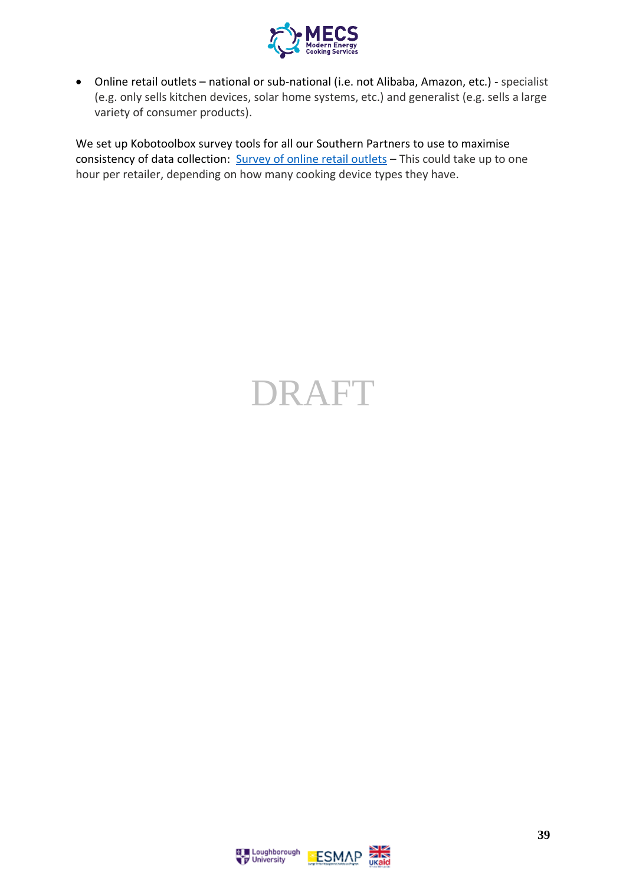

• Online retail outlets – national or sub-national (i.e. not Alibaba, Amazon, etc.) - specialist (e.g. only sells kitchen devices, solar home systems, etc.) and generalist (e.g. sells a large variety of consumer products).

We set up Kobotoolbox survey tools for all our Southern Partners to use to maximise consistency of data collection: [Survey of online retail outlets](https://ee.kobotoolbox.org/x/3hM06erh) - This could take up to one hour per retailer, depending on how many cooking device types they have.

# DRAFT